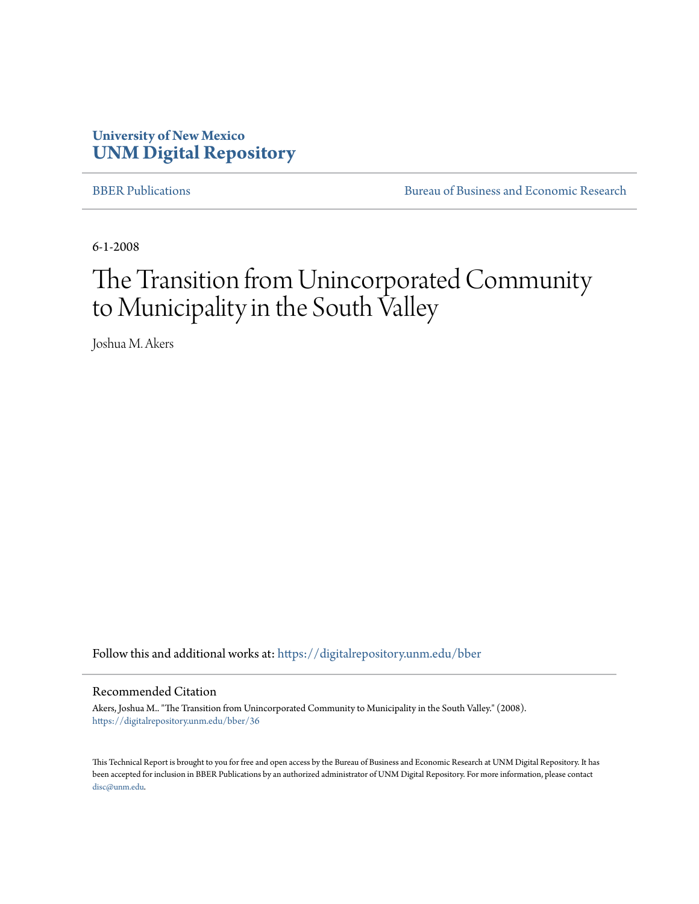# **University of New Mexico [UNM Digital Repository](https://digitalrepository.unm.edu?utm_source=digitalrepository.unm.edu%2Fbber%2F36&utm_medium=PDF&utm_campaign=PDFCoverPages)**

[BBER Publications](https://digitalrepository.unm.edu/bber?utm_source=digitalrepository.unm.edu%2Fbber%2F36&utm_medium=PDF&utm_campaign=PDFCoverPages) **BUREAU SERVICES** [Bureau of Business and Economic Research](https://digitalrepository.unm.edu/business_economic_research?utm_source=digitalrepository.unm.edu%2Fbber%2F36&utm_medium=PDF&utm_campaign=PDFCoverPages)

6-1-2008

# The Transition from Unincorporated Community to Municipality in the South Valley

Joshua M. Akers

Follow this and additional works at: [https://digitalrepository.unm.edu/bber](https://digitalrepository.unm.edu/bber?utm_source=digitalrepository.unm.edu%2Fbber%2F36&utm_medium=PDF&utm_campaign=PDFCoverPages)

#### Recommended Citation

Akers, Joshua M.. "The Transition from Unincorporated Community to Municipality in the South Valley." (2008). [https://digitalrepository.unm.edu/bber/36](https://digitalrepository.unm.edu/bber/36?utm_source=digitalrepository.unm.edu%2Fbber%2F36&utm_medium=PDF&utm_campaign=PDFCoverPages)

This Technical Report is brought to you for free and open access by the Bureau of Business and Economic Research at UNM Digital Repository. It has been accepted for inclusion in BBER Publications by an authorized administrator of UNM Digital Repository. For more information, please contact [disc@unm.edu](mailto:disc@unm.edu).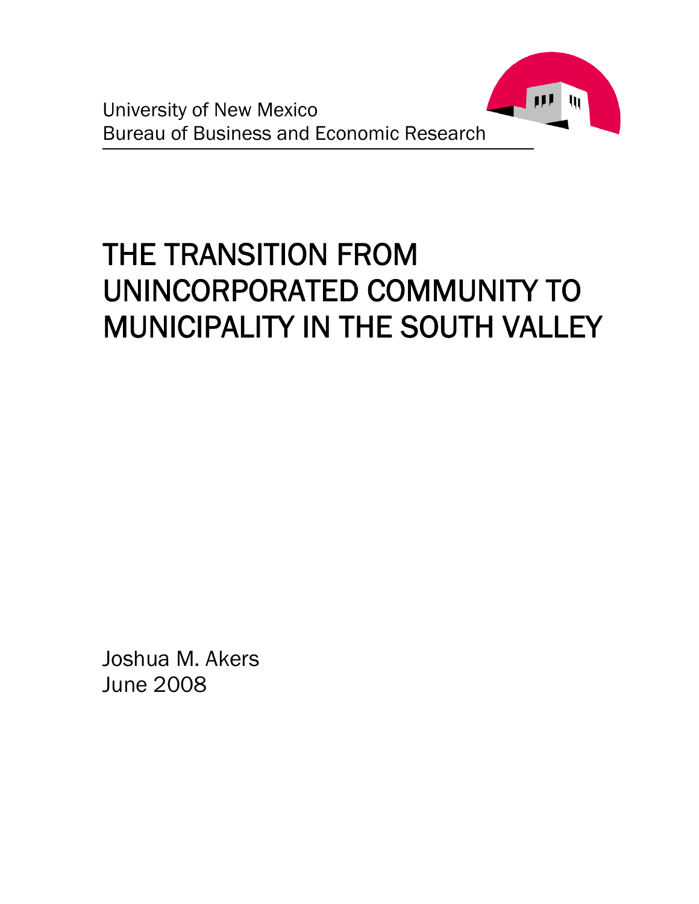

# THE TRANSITION FROM UNINCORPORATED COMMUNITY TO MUNICIPALITY IN THE SOUTH VALLEY

Joshua M. Akers June 2008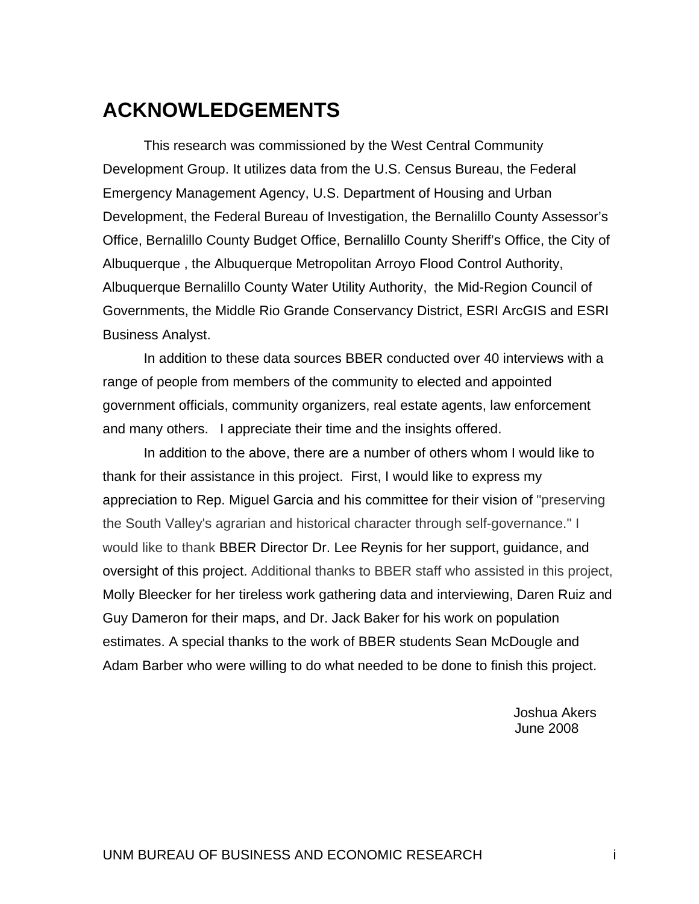# <span id="page-3-0"></span>**ACKNOWLEDGEMENTS**

This research was commissioned by the West Central Community Development Group. It utilizes data from the U.S. Census Bureau, the Federal Emergency Management Agency, U.S. Department of Housing and Urban Development, the Federal Bureau of Investigation, the Bernalillo County Assessor's Office, Bernalillo County Budget Office, Bernalillo County Sheriff's Office, the City of Albuquerque , the Albuquerque Metropolitan Arroyo Flood Control Authority, Albuquerque Bernalillo County Water Utility Authority, the Mid-Region Council of Governments, the Middle Rio Grande Conservancy District, ESRI ArcGIS and ESRI Business Analyst.

In addition to these data sources BBER conducted over 40 interviews with a range of people from members of the community to elected and appointed government officials, community organizers, real estate agents, law enforcement and many others. I appreciate their time and the insights offered.

In addition to the above, there are a number of others whom I would like to thank for their assistance in this project. First, I would like to express my appreciation to Rep. Miguel Garcia and his committee for their vision of "preserving the South Valley's agrarian and historical character through self-governance." I would like to thank BBER Director Dr. Lee Reynis for her support, guidance, and oversight of this project. Additional thanks to BBER staff who assisted in this project, Molly Bleecker for her tireless work gathering data and interviewing, Daren Ruiz and Guy Dameron for their maps, and Dr. Jack Baker for his work on population estimates. A special thanks to the work of BBER students Sean McDougle and Adam Barber who were willing to do what needed to be done to finish this project.

> Joshua Akers June 2008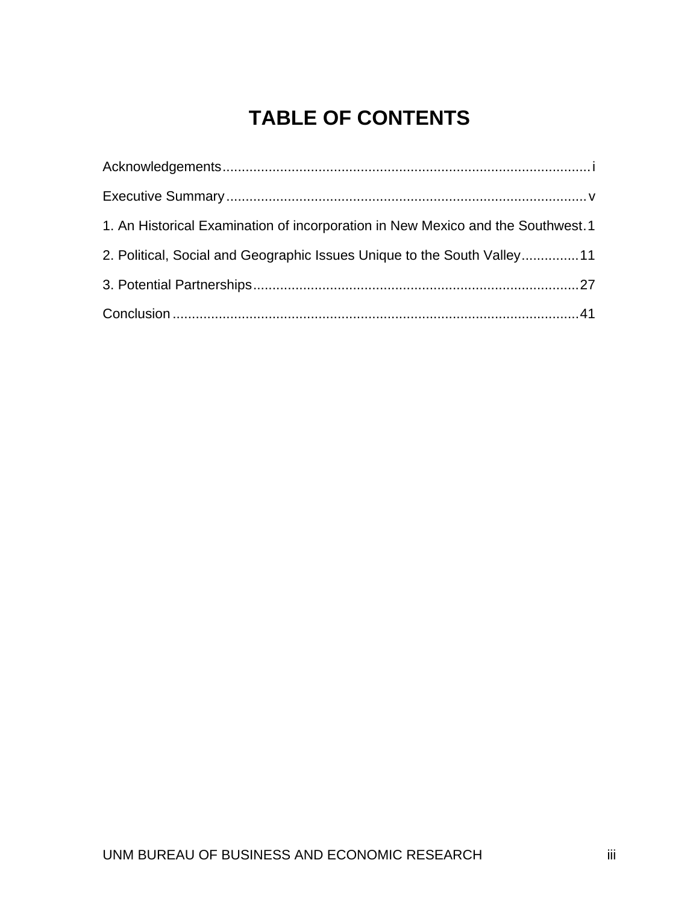# **TABLE OF CONTENTS**

| 1. An Historical Examination of incorporation in New Mexico and the Southwest. 1 |  |
|----------------------------------------------------------------------------------|--|
| 2. Political, Social and Geographic Issues Unique to the South Valley11          |  |
|                                                                                  |  |
|                                                                                  |  |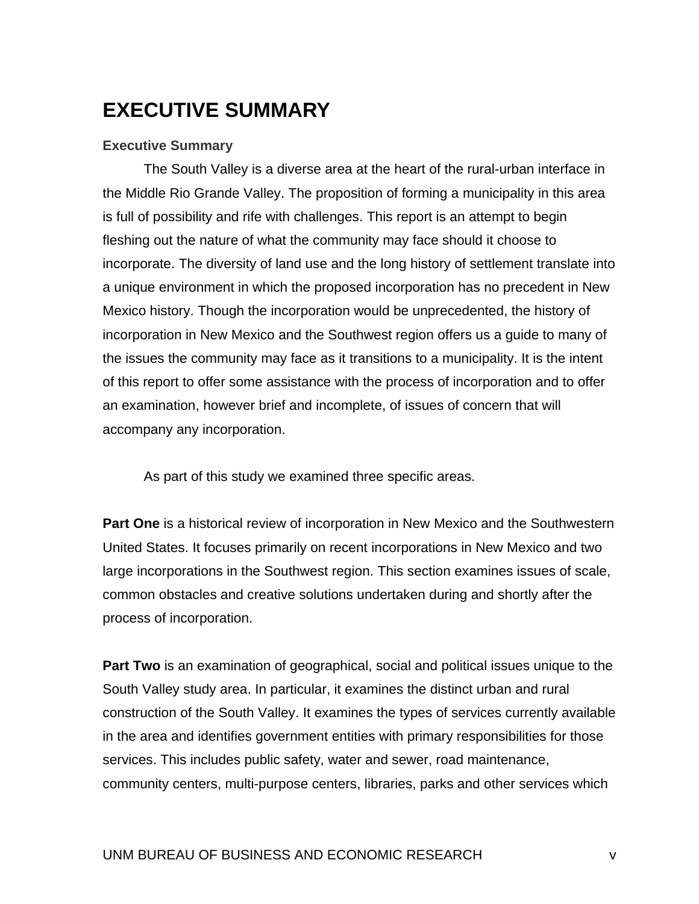# <span id="page-7-0"></span>**EXECUTIVE SUMMARY**

### **Executive Summary**

The South Valley is a diverse area at the heart of the rural-urban interface in the Middle Rio Grande Valley. The proposition of forming a municipality in this area is full of possibility and rife with challenges. This report is an attempt to begin fleshing out the nature of what the community may face should it choose to incorporate. The diversity of land use and the long history of settlement translate into a unique environment in which the proposed incorporation has no precedent in New Mexico history. Though the incorporation would be unprecedented, the history of incorporation in New Mexico and the Southwest region offers us a guide to many of the issues the community may face as it transitions to a municipality. It is the intent of this report to offer some assistance with the process of incorporation and to offer an examination, however brief and incomplete, of issues of concern that will accompany any incorporation.

As part of this study we examined three specific areas.

**Part One** is a historical review of incorporation in New Mexico and the Southwestern United States. It focuses primarily on recent incorporations in New Mexico and two large incorporations in the Southwest region. This section examines issues of scale, common obstacles and creative solutions undertaken during and shortly after the process of incorporation.

**Part Two** is an examination of geographical, social and political issues unique to the South Valley study area. In particular, it examines the distinct urban and rural construction of the South Valley. It examines the types of services currently available in the area and identifies government entities with primary responsibilities for those services. This includes public safety, water and sewer, road maintenance, community centers, multi-purpose centers, libraries, parks and other services which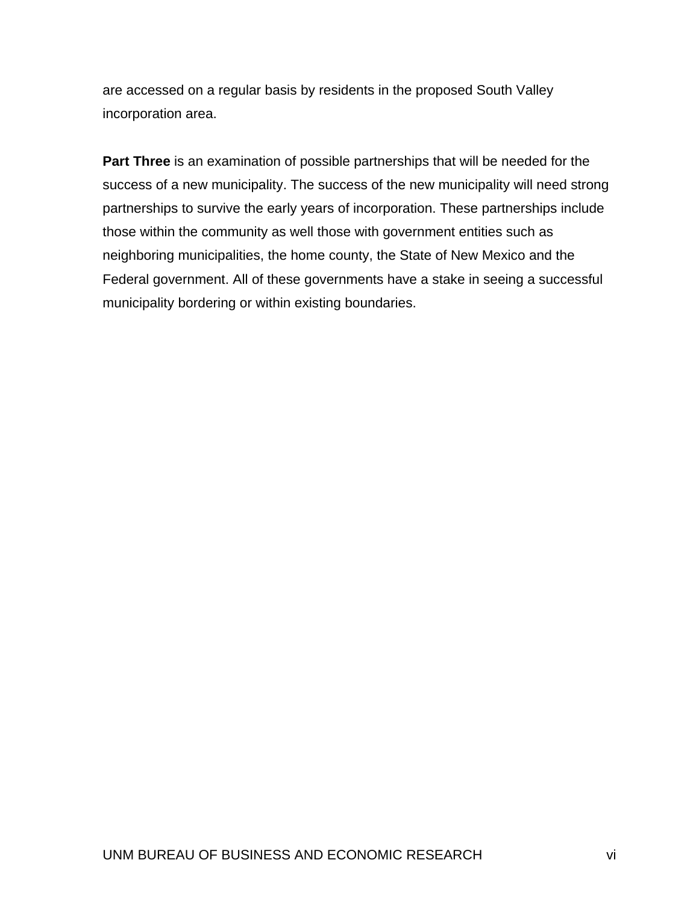are accessed on a regular basis by residents in the proposed South Valley incorporation area.

**Part Three** is an examination of possible partnerships that will be needed for the success of a new municipality. The success of the new municipality will need strong partnerships to survive the early years of incorporation. These partnerships include those within the community as well those with government entities such as neighboring municipalities, the home county, the State of New Mexico and the Federal government. All of these governments have a stake in seeing a successful municipality bordering or within existing boundaries.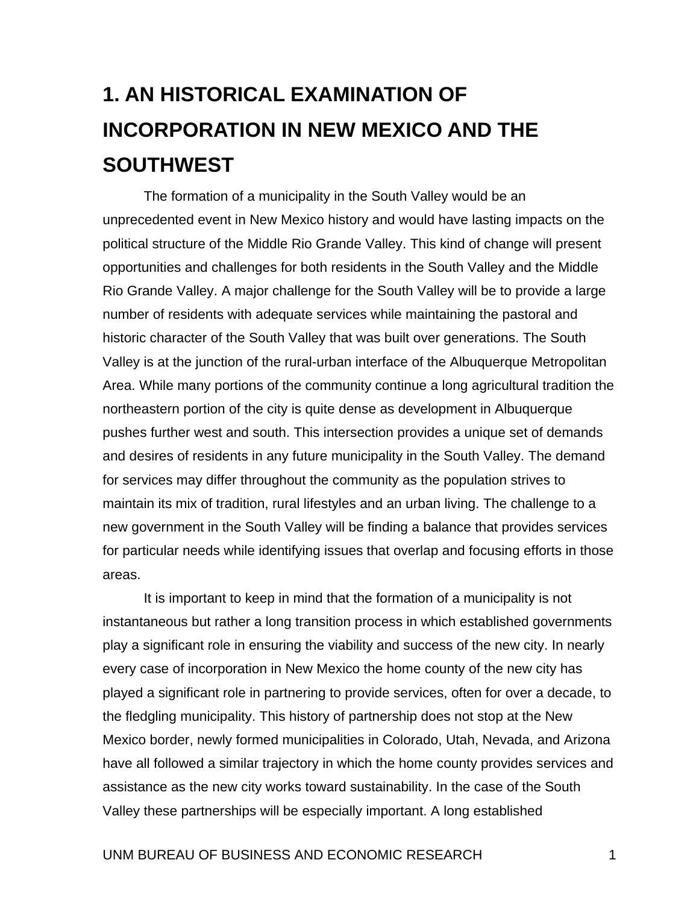# <span id="page-9-0"></span>**1. AN HISTORICAL EXAMINATION OF INCORPORATION IN NEW MEXICO AND THE SOUTHWEST**

The formation of a municipality in the South Valley would be an unprecedented event in New Mexico history and would have lasting impacts on the political structure of the Middle Rio Grande Valley. This kind of change will present opportunities and challenges for both residents in the South Valley and the Middle Rio Grande Valley. A major challenge for the South Valley will be to provide a large number of residents with adequate services while maintaining the pastoral and historic character of the South Valley that was built over generations. The South Valley is at the junction of the rural-urban interface of the Albuquerque Metropolitan Area. While many portions of the community continue a long agricultural tradition the northeastern portion of the city is quite dense as development in Albuquerque pushes further west and south. This intersection provides a unique set of demands and desires of residents in any future municipality in the South Valley. The demand for services may differ throughout the community as the population strives to maintain its mix of tradition, rural lifestyles and an urban living. The challenge to a new government in the South Valley will be finding a balance that provides services for particular needs while identifying issues that overlap and focusing efforts in those areas.

It is important to keep in mind that the formation of a municipality is not instantaneous but rather a long transition process in which established governments play a significant role in ensuring the viability and success of the new city. In nearly every case of incorporation in New Mexico the home county of the new city has played a significant role in partnering to provide services, often for over a decade, to the fledgling municipality. This history of partnership does not stop at the New Mexico border, newly formed municipalities in Colorado, Utah, Nevada, and Arizona have all followed a similar trajectory in which the home county provides services and assistance as the new city works toward sustainability. In the case of the South Valley these partnerships will be especially important. A long established

#### UNM BUREAU OF BUSINESS AND ECONOMIC RESEARCH 1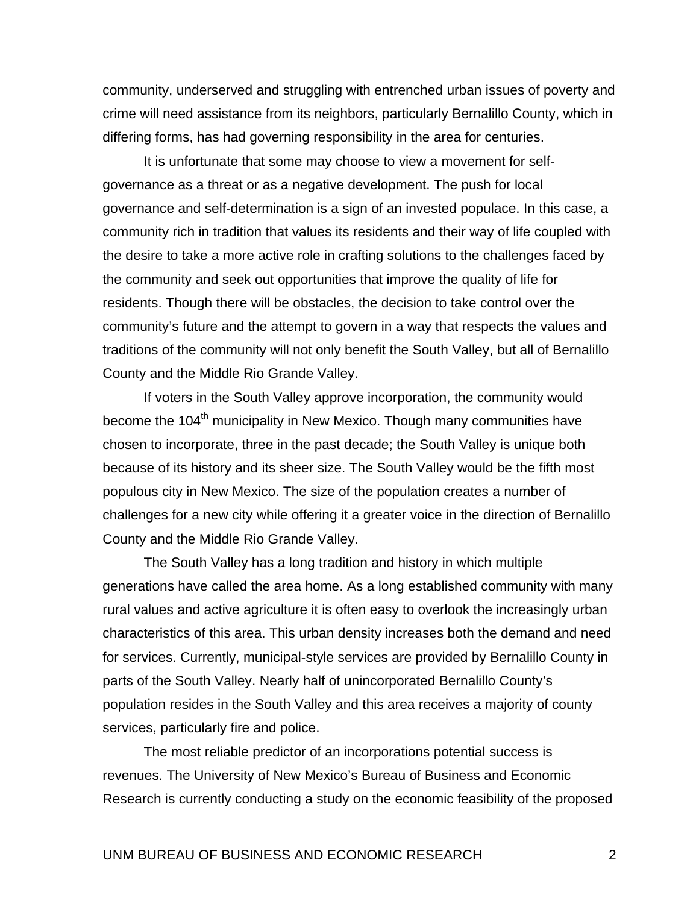community, underserved and struggling with entrenched urban issues of poverty and crime will need assistance from its neighbors, particularly Bernalillo County, which in differing forms, has had governing responsibility in the area for centuries.

It is unfortunate that some may choose to view a movement for selfgovernance as a threat or as a negative development. The push for local governance and self-determination is a sign of an invested populace. In this case, a community rich in tradition that values its residents and their way of life coupled with the desire to take a more active role in crafting solutions to the challenges faced by the community and seek out opportunities that improve the quality of life for residents. Though there will be obstacles, the decision to take control over the community's future and the attempt to govern in a way that respects the values and traditions of the community will not only benefit the South Valley, but all of Bernalillo County and the Middle Rio Grande Valley.

If voters in the South Valley approve incorporation, the community would become the 104<sup>th</sup> municipality in New Mexico. Though many communities have chosen to incorporate, three in the past decade; the South Valley is unique both because of its history and its sheer size. The South Valley would be the fifth most populous city in New Mexico. The size of the population creates a number of challenges for a new city while offering it a greater voice in the direction of Bernalillo County and the Middle Rio Grande Valley.

The South Valley has a long tradition and history in which multiple generations have called the area home. As a long established community with many rural values and active agriculture it is often easy to overlook the increasingly urban characteristics of this area. This urban density increases both the demand and need for services. Currently, municipal-style services are provided by Bernalillo County in parts of the South Valley. Nearly half of unincorporated Bernalillo County's population resides in the South Valley and this area receives a majority of county services, particularly fire and police.

The most reliable predictor of an incorporations potential success is revenues. The University of New Mexico's Bureau of Business and Economic Research is currently conducting a study on the economic feasibility of the proposed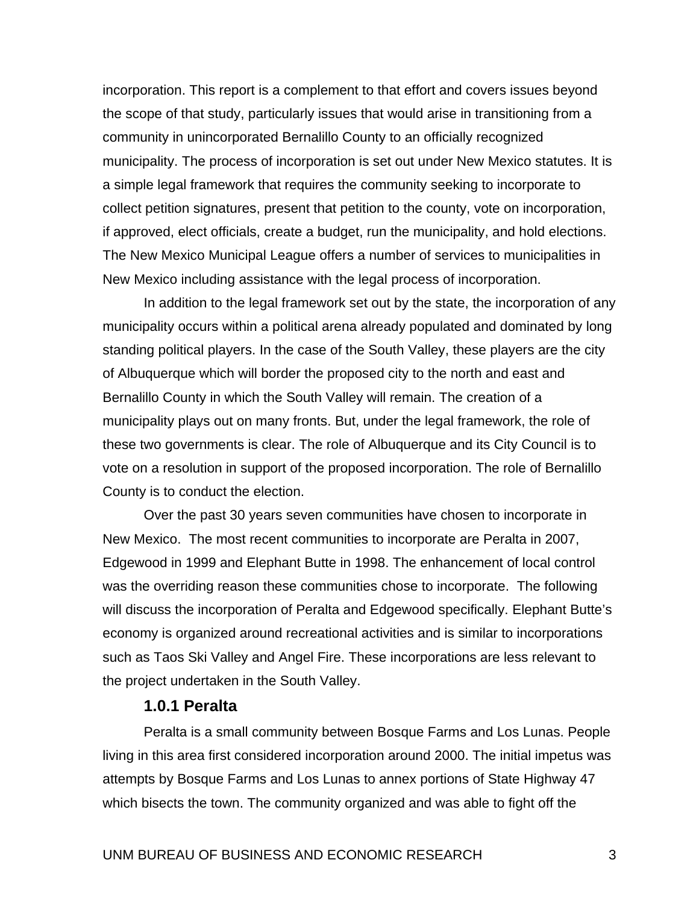incorporation. This report is a complement to that effort and covers issues beyond the scope of that study, particularly issues that would arise in transitioning from a community in unincorporated Bernalillo County to an officially recognized municipality. The process of incorporation is set out under New Mexico statutes. It is a simple legal framework that requires the community seeking to incorporate to collect petition signatures, present that petition to the county, vote on incorporation, if approved, elect officials, create a budget, run the municipality, and hold elections. The New Mexico Municipal League offers a number of services to municipalities in New Mexico including assistance with the legal process of incorporation.

In addition to the legal framework set out by the state, the incorporation of any municipality occurs within a political arena already populated and dominated by long standing political players. In the case of the South Valley, these players are the city of Albuquerque which will border the proposed city to the north and east and Bernalillo County in which the South Valley will remain. The creation of a municipality plays out on many fronts. But, under the legal framework, the role of these two governments is clear. The role of Albuquerque and its City Council is to vote on a resolution in support of the proposed incorporation. The role of Bernalillo County is to conduct the election.

Over the past 30 years seven communities have chosen to incorporate in New Mexico. The most recent communities to incorporate are Peralta in 2007, Edgewood in 1999 and Elephant Butte in 1998. The enhancement of local control was the overriding reason these communities chose to incorporate. The following will discuss the incorporation of Peralta and Edgewood specifically. Elephant Butte's economy is organized around recreational activities and is similar to incorporations such as Taos Ski Valley and Angel Fire. These incorporations are less relevant to the project undertaken in the South Valley.

#### **1.0.1 Peralta**

Peralta is a small community between Bosque Farms and Los Lunas. People living in this area first considered incorporation around 2000. The initial impetus was attempts by Bosque Farms and Los Lunas to annex portions of State Highway 47 which bisects the town. The community organized and was able to fight off the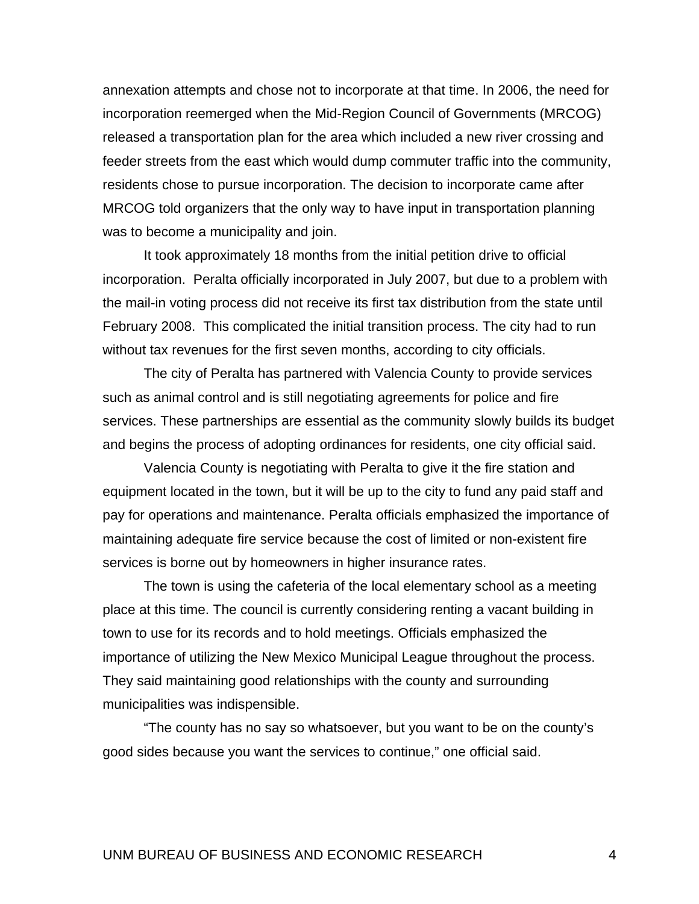annexation attempts and chose not to incorporate at that time. In 2006, the need for incorporation reemerged when the Mid-Region Council of Governments (MRCOG) released a transportation plan for the area which included a new river crossing and feeder streets from the east which would dump commuter traffic into the community, residents chose to pursue incorporation. The decision to incorporate came after MRCOG told organizers that the only way to have input in transportation planning was to become a municipality and join.

It took approximately 18 months from the initial petition drive to official incorporation. Peralta officially incorporated in July 2007, but due to a problem with the mail-in voting process did not receive its first tax distribution from the state until February 2008. This complicated the initial transition process. The city had to run without tax revenues for the first seven months, according to city officials.

The city of Peralta has partnered with Valencia County to provide services such as animal control and is still negotiating agreements for police and fire services. These partnerships are essential as the community slowly builds its budget and begins the process of adopting ordinances for residents, one city official said.

Valencia County is negotiating with Peralta to give it the fire station and equipment located in the town, but it will be up to the city to fund any paid staff and pay for operations and maintenance. Peralta officials emphasized the importance of maintaining adequate fire service because the cost of limited or non-existent fire services is borne out by homeowners in higher insurance rates.

The town is using the cafeteria of the local elementary school as a meeting place at this time. The council is currently considering renting a vacant building in town to use for its records and to hold meetings. Officials emphasized the importance of utilizing the New Mexico Municipal League throughout the process. They said maintaining good relationships with the county and surrounding municipalities was indispensible.

"The county has no say so whatsoever, but you want to be on the county's good sides because you want the services to continue," one official said.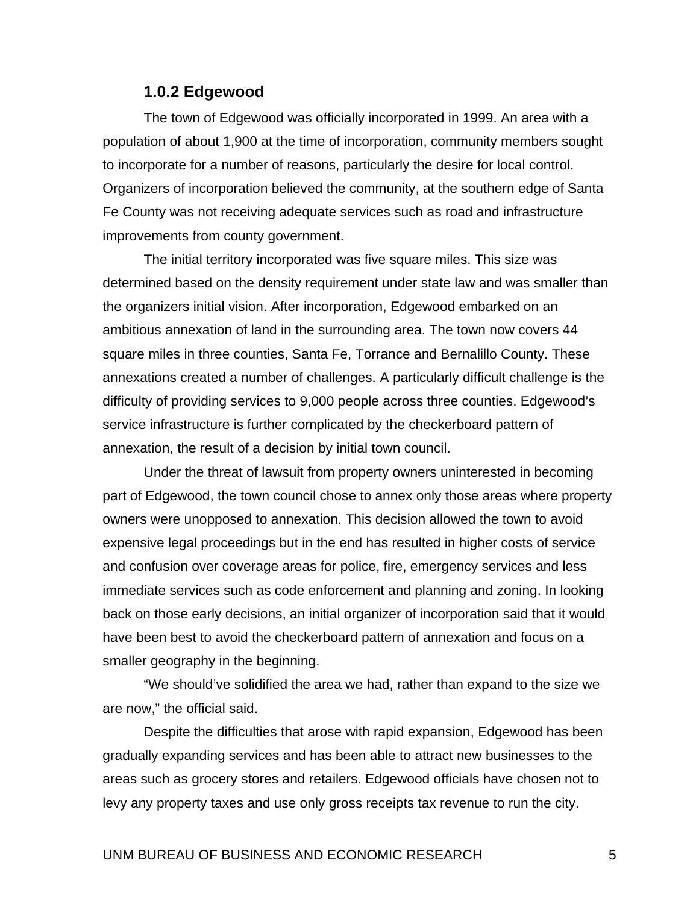#### **1.0.2 Edgewood**

The town of Edgewood was officially incorporated in 1999. An area with a population of about 1,900 at the time of incorporation, community members sought to incorporate for a number of reasons, particularly the desire for local control. Organizers of incorporation believed the community, at the southern edge of Santa Fe County was not receiving adequate services such as road and infrastructure improvements from county government.

The initial territory incorporated was five square miles. This size was determined based on the density requirement under state law and was smaller than the organizers initial vision. After incorporation, Edgewood embarked on an ambitious annexation of land in the surrounding area. The town now covers 44 square miles in three counties, Santa Fe, Torrance and Bernalillo County. These annexations created a number of challenges. A particularly difficult challenge is the difficulty of providing services to 9,000 people across three counties. Edgewood's service infrastructure is further complicated by the checkerboard pattern of annexation, the result of a decision by initial town council.

Under the threat of lawsuit from property owners uninterested in becoming part of Edgewood, the town council chose to annex only those areas where property owners were unopposed to annexation. This decision allowed the town to avoid expensive legal proceedings but in the end has resulted in higher costs of service and confusion over coverage areas for police, fire, emergency services and less immediate services such as code enforcement and planning and zoning. In looking back on those early decisions, an initial organizer of incorporation said that it would have been best to avoid the checkerboard pattern of annexation and focus on a smaller geography in the beginning.

"We should've solidified the area we had, rather than expand to the size we are now," the official said.

Despite the difficulties that arose with rapid expansion, Edgewood has been gradually expanding services and has been able to attract new businesses to the areas such as grocery stores and retailers. Edgewood officials have chosen not to levy any property taxes and use only gross receipts tax revenue to run the city.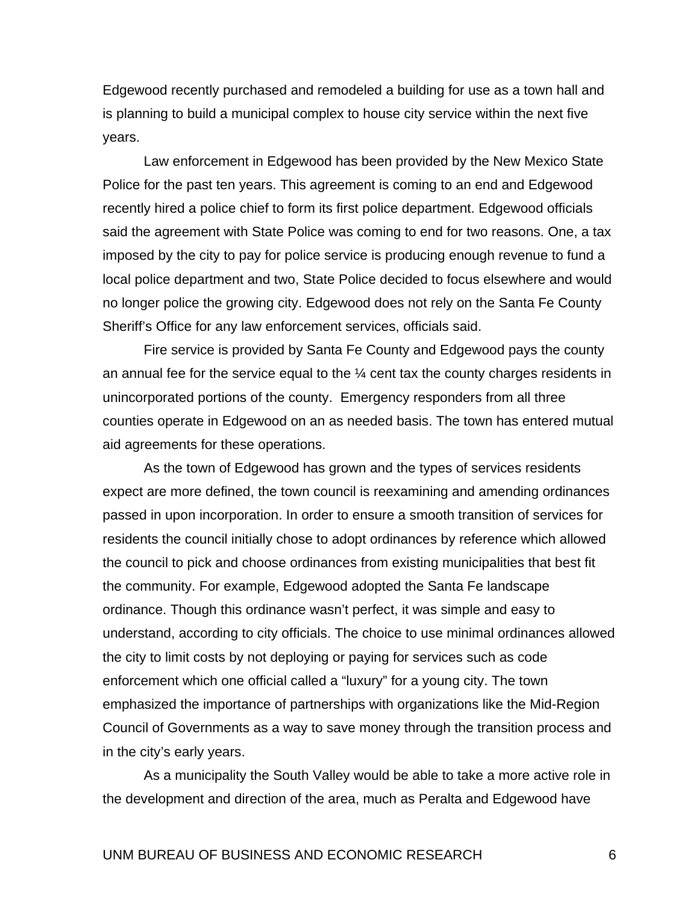Edgewood recently purchased and remodeled a building for use as a town hall and is planning to build a municipal complex to house city service within the next five years.

Law enforcement in Edgewood has been provided by the New Mexico State Police for the past ten years. This agreement is coming to an end and Edgewood recently hired a police chief to form its first police department. Edgewood officials said the agreement with State Police was coming to end for two reasons. One, a tax imposed by the city to pay for police service is producing enough revenue to fund a local police department and two, State Police decided to focus elsewhere and would no longer police the growing city. Edgewood does not rely on the Santa Fe County Sheriff's Office for any law enforcement services, officials said.

Fire service is provided by Santa Fe County and Edgewood pays the county an annual fee for the service equal to the  $\frac{1}{4}$  cent tax the county charges residents in unincorporated portions of the county. Emergency responders from all three counties operate in Edgewood on an as needed basis. The town has entered mutual aid agreements for these operations.

As the town of Edgewood has grown and the types of services residents expect are more defined, the town council is reexamining and amending ordinances passed in upon incorporation. In order to ensure a smooth transition of services for residents the council initially chose to adopt ordinances by reference which allowed the council to pick and choose ordinances from existing municipalities that best fit the community. For example, Edgewood adopted the Santa Fe landscape ordinance. Though this ordinance wasn't perfect, it was simple and easy to understand, according to city officials. The choice to use minimal ordinances allowed the city to limit costs by not deploying or paying for services such as code enforcement which one official called a "luxury" for a young city. The town emphasized the importance of partnerships with organizations like the Mid-Region Council of Governments as a way to save money through the transition process and in the city's early years.

As a municipality the South Valley would be able to take a more active role in the development and direction of the area, much as Peralta and Edgewood have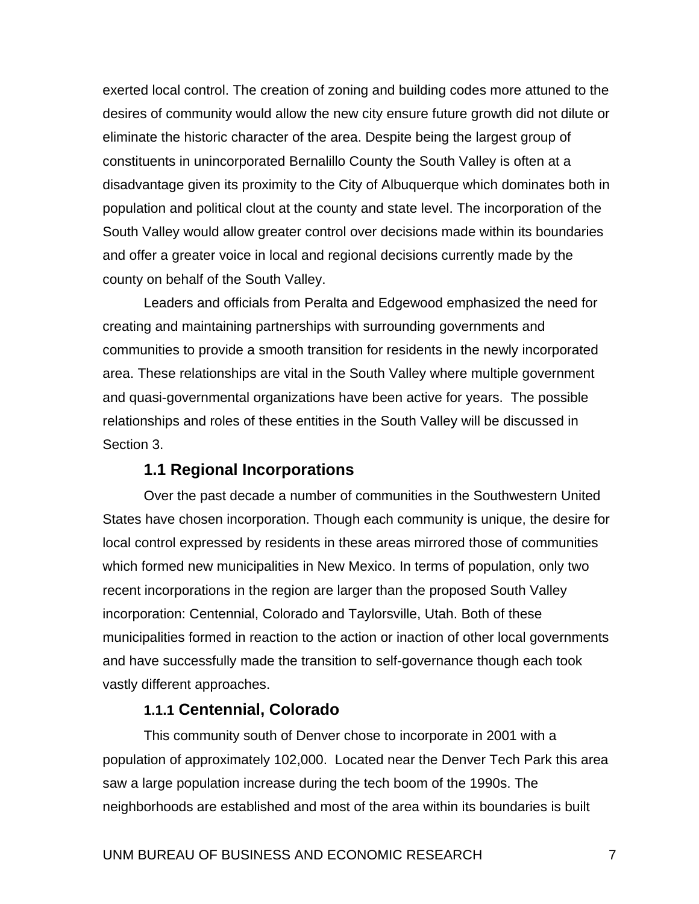exerted local control. The creation of zoning and building codes more attuned to the desires of community would allow the new city ensure future growth did not dilute or eliminate the historic character of the area. Despite being the largest group of constituents in unincorporated Bernalillo County the South Valley is often at a disadvantage given its proximity to the City of Albuquerque which dominates both in population and political clout at the county and state level. The incorporation of the South Valley would allow greater control over decisions made within its boundaries and offer a greater voice in local and regional decisions currently made by the county on behalf of the South Valley.

Leaders and officials from Peralta and Edgewood emphasized the need for creating and maintaining partnerships with surrounding governments and communities to provide a smooth transition for residents in the newly incorporated area. These relationships are vital in the South Valley where multiple government and quasi-governmental organizations have been active for years. The possible relationships and roles of these entities in the South Valley will be discussed in Section 3.

## **1.1 Regional Incorporations**

Over the past decade a number of communities in the Southwestern United States have chosen incorporation. Though each community is unique, the desire for local control expressed by residents in these areas mirrored those of communities which formed new municipalities in New Mexico. In terms of population, only two recent incorporations in the region are larger than the proposed South Valley incorporation: Centennial, Colorado and Taylorsville, Utah. Both of these municipalities formed in reaction to the action or inaction of other local governments and have successfully made the transition to self-governance though each took vastly different approaches.

## **1.1.1 Centennial, Colorado**

 This community south of Denver chose to incorporate in 2001 with a population of approximately 102,000. Located near the Denver Tech Park this area saw a large population increase during the tech boom of the 1990s. The neighborhoods are established and most of the area within its boundaries is built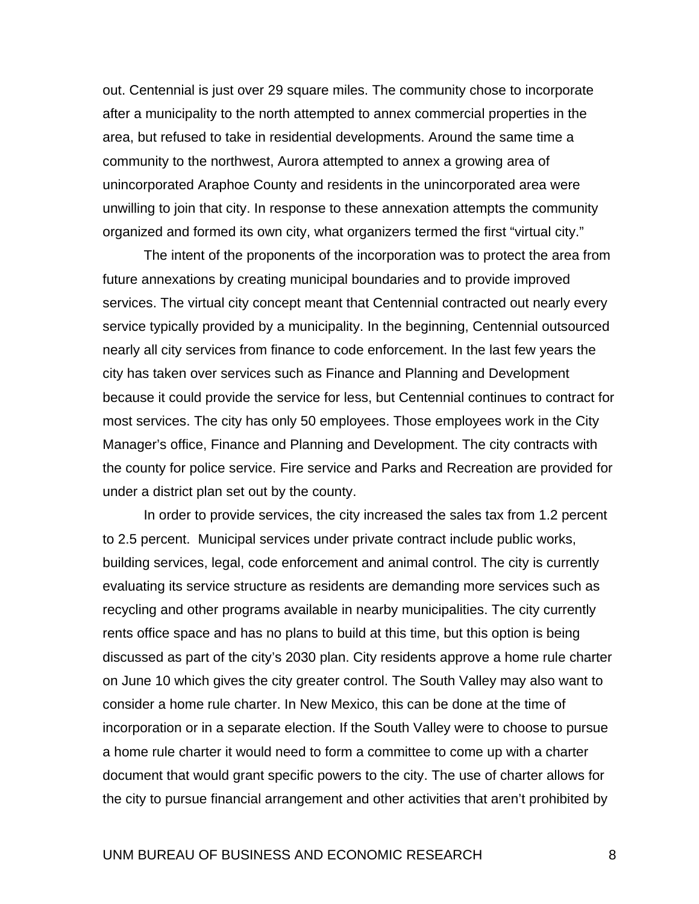out. Centennial is just over 29 square miles. The community chose to incorporate after a municipality to the north attempted to annex commercial properties in the area, but refused to take in residential developments. Around the same time a community to the northwest, Aurora attempted to annex a growing area of unincorporated Araphoe County and residents in the unincorporated area were unwilling to join that city. In response to these annexation attempts the community organized and formed its own city, what organizers termed the first "virtual city."

 The intent of the proponents of the incorporation was to protect the area from future annexations by creating municipal boundaries and to provide improved services. The virtual city concept meant that Centennial contracted out nearly every service typically provided by a municipality. In the beginning, Centennial outsourced nearly all city services from finance to code enforcement. In the last few years the city has taken over services such as Finance and Planning and Development because it could provide the service for less, but Centennial continues to contract for most services. The city has only 50 employees. Those employees work in the City Manager's office, Finance and Planning and Development. The city contracts with the county for police service. Fire service and Parks and Recreation are provided for under a district plan set out by the county.

 In order to provide services, the city increased the sales tax from 1.2 percent to 2.5 percent. Municipal services under private contract include public works, building services, legal, code enforcement and animal control. The city is currently evaluating its service structure as residents are demanding more services such as recycling and other programs available in nearby municipalities. The city currently rents office space and has no plans to build at this time, but this option is being discussed as part of the city's 2030 plan. City residents approve a home rule charter on June 10 which gives the city greater control. The South Valley may also want to consider a home rule charter. In New Mexico, this can be done at the time of incorporation or in a separate election. If the South Valley were to choose to pursue a home rule charter it would need to form a committee to come up with a charter document that would grant specific powers to the city. The use of charter allows for the city to pursue financial arrangement and other activities that aren't prohibited by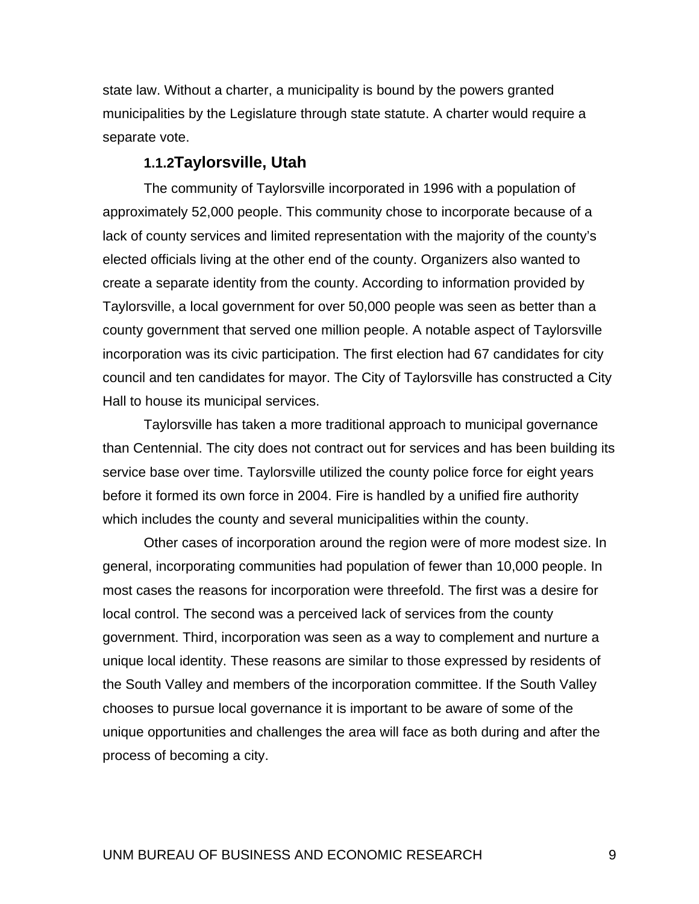state law. Without a charter, a municipality is bound by the powers granted municipalities by the Legislature through state statute. A charter would require a separate vote.

#### **1.1.2Taylorsville, Utah**

 The community of Taylorsville incorporated in 1996 with a population of approximately 52,000 people. This community chose to incorporate because of a lack of county services and limited representation with the majority of the county's elected officials living at the other end of the county. Organizers also wanted to create a separate identity from the county. According to information provided by Taylorsville, a local government for over 50,000 people was seen as better than a county government that served one million people. A notable aspect of Taylorsville incorporation was its civic participation. The first election had 67 candidates for city council and ten candidates for mayor. The City of Taylorsville has constructed a City Hall to house its municipal services.

 Taylorsville has taken a more traditional approach to municipal governance than Centennial. The city does not contract out for services and has been building its service base over time. Taylorsville utilized the county police force for eight years before it formed its own force in 2004. Fire is handled by a unified fire authority which includes the county and several municipalities within the county.

 Other cases of incorporation around the region were of more modest size. In general, incorporating communities had population of fewer than 10,000 people. In most cases the reasons for incorporation were threefold. The first was a desire for local control. The second was a perceived lack of services from the county government. Third, incorporation was seen as a way to complement and nurture a unique local identity. These reasons are similar to those expressed by residents of the South Valley and members of the incorporation committee. If the South Valley chooses to pursue local governance it is important to be aware of some of the unique opportunities and challenges the area will face as both during and after the process of becoming a city.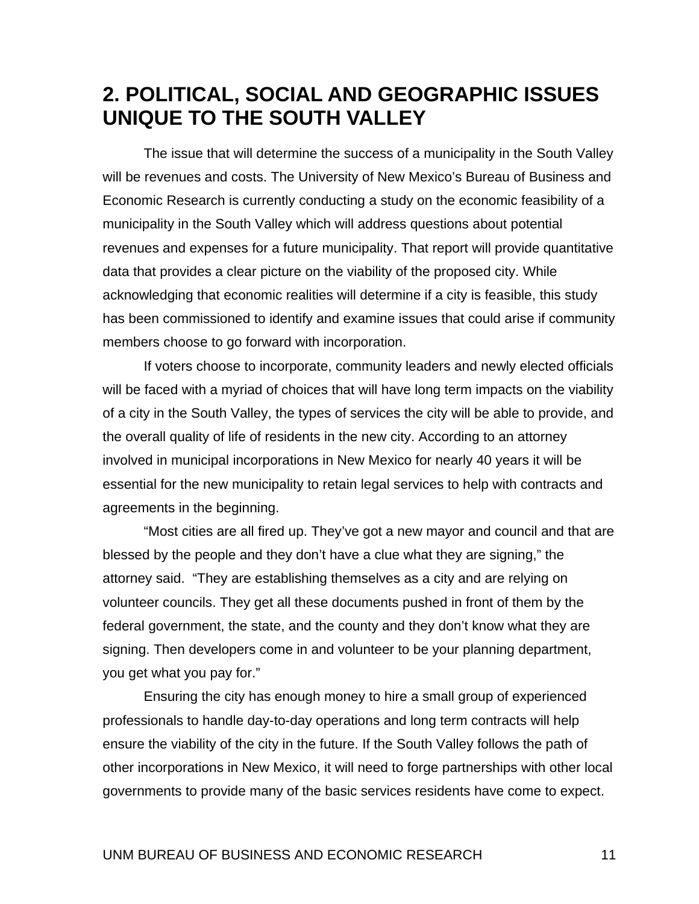# <span id="page-19-0"></span>**2. POLITICAL, SOCIAL AND GEOGRAPHIC ISSUES UNIQUE TO THE SOUTH VALLEY**

The issue that will determine the success of a municipality in the South Valley will be revenues and costs. The University of New Mexico's Bureau of Business and Economic Research is currently conducting a study on the economic feasibility of a municipality in the South Valley which will address questions about potential revenues and expenses for a future municipality. That report will provide quantitative data that provides a clear picture on the viability of the proposed city. While acknowledging that economic realities will determine if a city is feasible, this study has been commissioned to identify and examine issues that could arise if community members choose to go forward with incorporation.

 If voters choose to incorporate, community leaders and newly elected officials will be faced with a myriad of choices that will have long term impacts on the viability of a city in the South Valley, the types of services the city will be able to provide, and the overall quality of life of residents in the new city. According to an attorney involved in municipal incorporations in New Mexico for nearly 40 years it will be essential for the new municipality to retain legal services to help with contracts and agreements in the beginning.

"Most cities are all fired up. They've got a new mayor and council and that are blessed by the people and they don't have a clue what they are signing," the attorney said. "They are establishing themselves as a city and are relying on volunteer councils. They get all these documents pushed in front of them by the federal government, the state, and the county and they don't know what they are signing. Then developers come in and volunteer to be your planning department, you get what you pay for."

 Ensuring the city has enough money to hire a small group of experienced professionals to handle day-to-day operations and long term contracts will help ensure the viability of the city in the future. If the South Valley follows the path of other incorporations in New Mexico, it will need to forge partnerships with other local governments to provide many of the basic services residents have come to expect.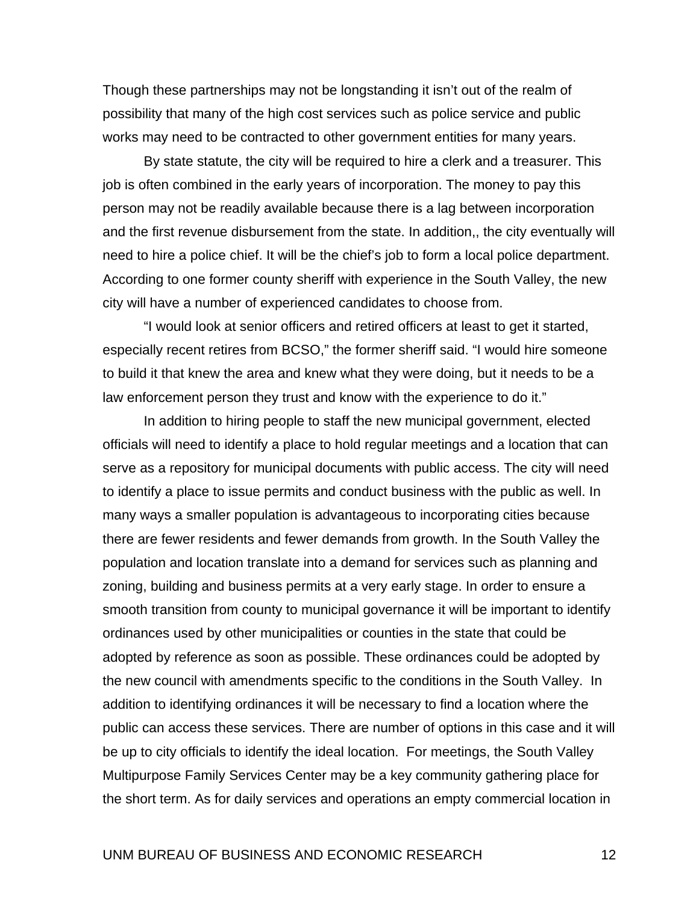Though these partnerships may not be longstanding it isn't out of the realm of possibility that many of the high cost services such as police service and public works may need to be contracted to other government entities for many years.

 By state statute, the city will be required to hire a clerk and a treasurer. This job is often combined in the early years of incorporation. The money to pay this person may not be readily available because there is a lag between incorporation and the first revenue disbursement from the state. In addition,, the city eventually will need to hire a police chief. It will be the chief's job to form a local police department. According to one former county sheriff with experience in the South Valley, the new city will have a number of experienced candidates to choose from.

 "I would look at senior officers and retired officers at least to get it started, especially recent retires from BCSO," the former sheriff said. "I would hire someone to build it that knew the area and knew what they were doing, but it needs to be a law enforcement person they trust and know with the experience to do it."

 In addition to hiring people to staff the new municipal government, elected officials will need to identify a place to hold regular meetings and a location that can serve as a repository for municipal documents with public access. The city will need to identify a place to issue permits and conduct business with the public as well. In many ways a smaller population is advantageous to incorporating cities because there are fewer residents and fewer demands from growth. In the South Valley the population and location translate into a demand for services such as planning and zoning, building and business permits at a very early stage. In order to ensure a smooth transition from county to municipal governance it will be important to identify ordinances used by other municipalities or counties in the state that could be adopted by reference as soon as possible. These ordinances could be adopted by the new council with amendments specific to the conditions in the South Valley. In addition to identifying ordinances it will be necessary to find a location where the public can access these services. There are number of options in this case and it will be up to city officials to identify the ideal location. For meetings, the South Valley Multipurpose Family Services Center may be a key community gathering place for the short term. As for daily services and operations an empty commercial location in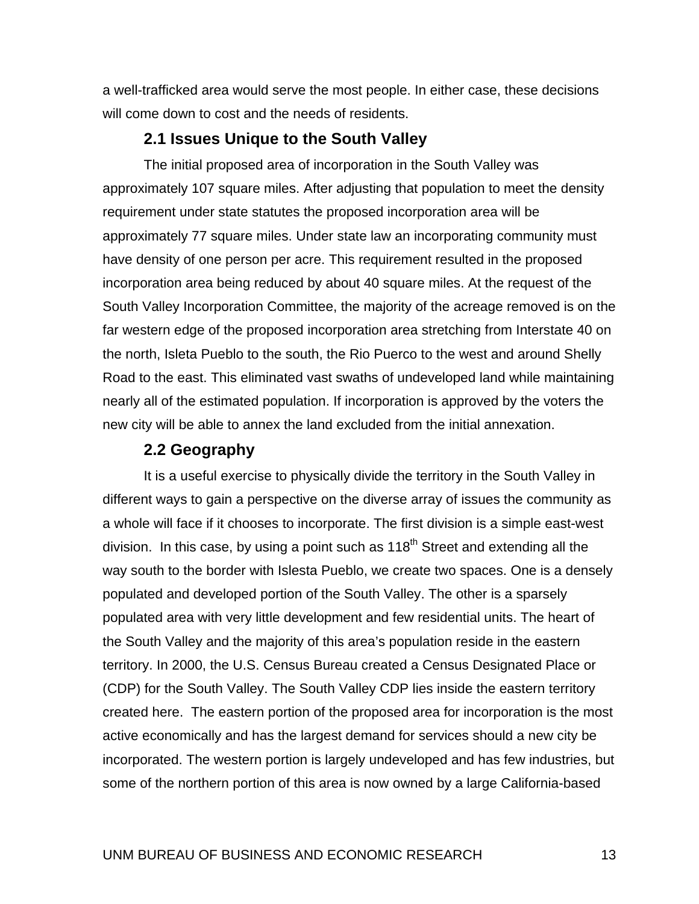a well-trafficked area would serve the most people. In either case, these decisions will come down to cost and the needs of residents.

# **2.1 Issues Unique to the South Valley**

The initial proposed area of incorporation in the South Valley was approximately 107 square miles. After adjusting that population to meet the density requirement under state statutes the proposed incorporation area will be approximately 77 square miles. Under state law an incorporating community must have density of one person per acre. This requirement resulted in the proposed incorporation area being reduced by about 40 square miles. At the request of the South Valley Incorporation Committee, the majority of the acreage removed is on the far western edge of the proposed incorporation area stretching from Interstate 40 on the north, Isleta Pueblo to the south, the Rio Puerco to the west and around Shelly Road to the east. This eliminated vast swaths of undeveloped land while maintaining nearly all of the estimated population. If incorporation is approved by the voters the new city will be able to annex the land excluded from the initial annexation.

# **2.2 Geography**

It is a useful exercise to physically divide the territory in the South Valley in different ways to gain a perspective on the diverse array of issues the community as a whole will face if it chooses to incorporate. The first division is a simple east-west division. In this case, by using a point such as  $118<sup>th</sup>$  Street and extending all the way south to the border with Islesta Pueblo, we create two spaces. One is a densely populated and developed portion of the South Valley. The other is a sparsely populated area with very little development and few residential units. The heart of the South Valley and the majority of this area's population reside in the eastern territory. In 2000, the U.S. Census Bureau created a Census Designated Place or (CDP) for the South Valley. The South Valley CDP lies inside the eastern territory created here. The eastern portion of the proposed area for incorporation is the most active economically and has the largest demand for services should a new city be incorporated. The western portion is largely undeveloped and has few industries, but some of the northern portion of this area is now owned by a large California-based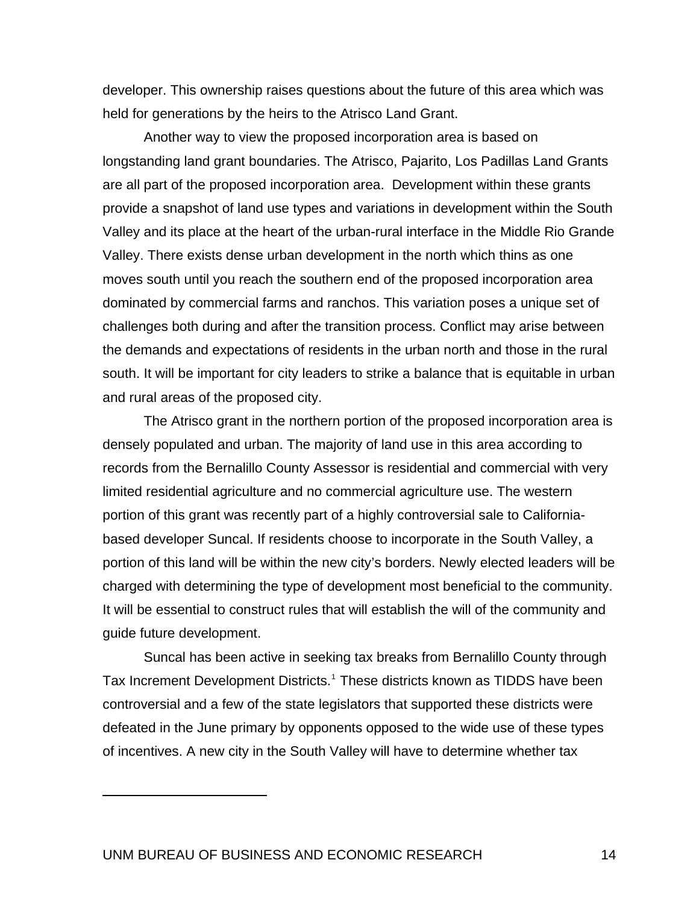developer. This ownership raises questions about the future of this area which was held for generations by the heirs to the Atrisco Land Grant.

Another way to view the proposed incorporation area is based on longstanding land grant boundaries. The Atrisco, Pajarito, Los Padillas Land Grants are all part of the proposed incorporation area. Development within these grants provide a snapshot of land use types and variations in development within the South Valley and its place at the heart of the urban-rural interface in the Middle Rio Grande Valley. There exists dense urban development in the north which thins as one moves south until you reach the southern end of the proposed incorporation area dominated by commercial farms and ranchos. This variation poses a unique set of challenges both during and after the transition process. Conflict may arise between the demands and expectations of residents in the urban north and those in the rural south. It will be important for city leaders to strike a balance that is equitable in urban and rural areas of the proposed city.

The Atrisco grant in the northern portion of the proposed incorporation area is densely populated and urban. The majority of land use in this area according to records from the Bernalillo County Assessor is residential and commercial with very limited residential agriculture and no commercial agriculture use. The western portion of this grant was recently part of a highly controversial sale to Californiabased developer Suncal. If residents choose to incorporate in the South Valley, a portion of this land will be within the new city's borders. Newly elected leaders will be charged with determining the type of development most beneficial to the community. It will be essential to construct rules that will establish the will of the community and guide future development.

Suncal has been active in seeking tax breaks from Bernalillo County through Tax Increment Development Districts.<sup>[1](#page-22-0)</sup> These districts known as TIDDS have been controversial and a few of the state legislators that supported these districts were defeated in the June primary by opponents opposed to the wide use of these types of incentives. A new city in the South Valley will have to determine whether tax

<span id="page-22-0"></span> $\overline{a}$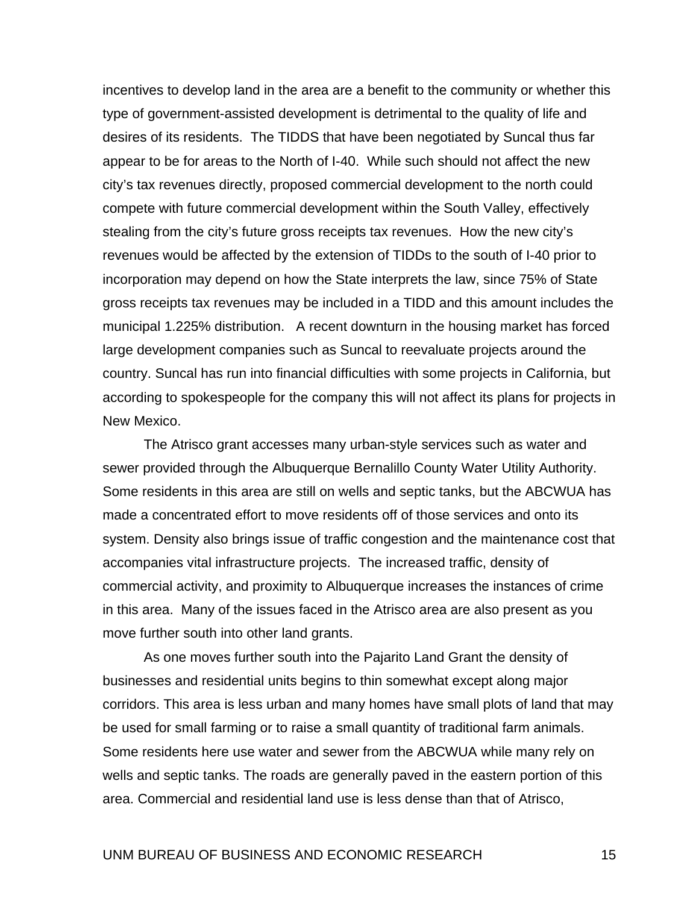incentives to develop land in the area are a benefit to the community or whether this type of government-assisted development is detrimental to the quality of life and desires of its residents. The TIDDS that have been negotiated by Suncal thus far appear to be for areas to the North of I-40. While such should not affect the new city's tax revenues directly, proposed commercial development to the north could compete with future commercial development within the South Valley, effectively stealing from the city's future gross receipts tax revenues. How the new city's revenues would be affected by the extension of TIDDs to the south of I-40 prior to incorporation may depend on how the State interprets the law, since 75% of State gross receipts tax revenues may be included in a TIDD and this amount includes the municipal 1.225% distribution. A recent downturn in the housing market has forced large development companies such as Suncal to reevaluate projects around the country. Suncal has run into financial difficulties with some projects in California, but according to spokespeople for the company this will not affect its plans for projects in New Mexico.

The Atrisco grant accesses many urban-style services such as water and sewer provided through the Albuquerque Bernalillo County Water Utility Authority. Some residents in this area are still on wells and septic tanks, but the ABCWUA has made a concentrated effort to move residents off of those services and onto its system. Density also brings issue of traffic congestion and the maintenance cost that accompanies vital infrastructure projects. The increased traffic, density of commercial activity, and proximity to Albuquerque increases the instances of crime in this area. Many of the issues faced in the Atrisco area are also present as you move further south into other land grants.

As one moves further south into the Pajarito Land Grant the density of businesses and residential units begins to thin somewhat except along major corridors. This area is less urban and many homes have small plots of land that may be used for small farming or to raise a small quantity of traditional farm animals. Some residents here use water and sewer from the ABCWUA while many rely on wells and septic tanks. The roads are generally paved in the eastern portion of this area. Commercial and residential land use is less dense than that of Atrisco,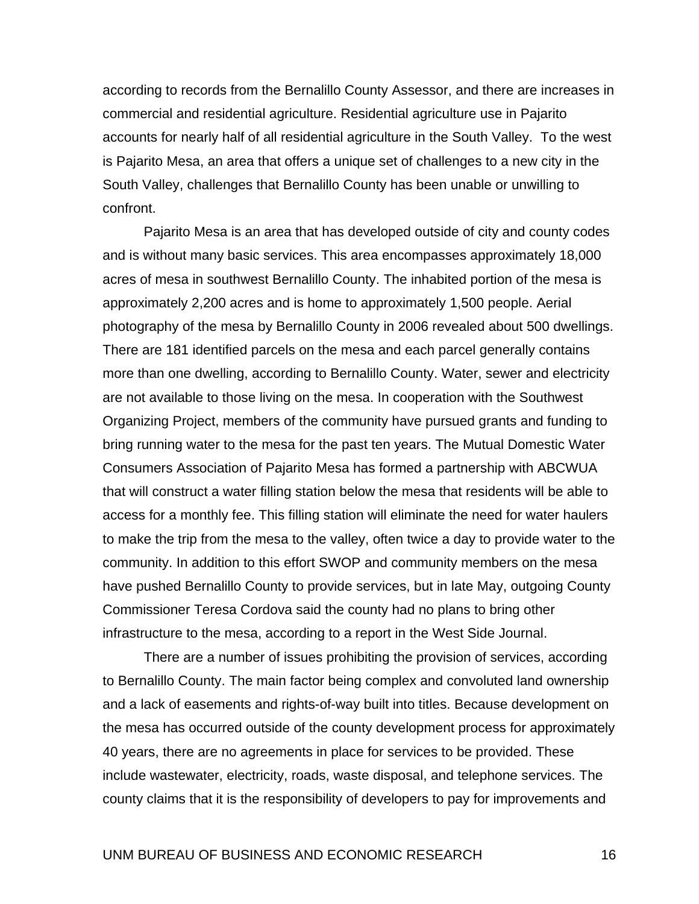according to records from the Bernalillo County Assessor, and there are increases in commercial and residential agriculture. Residential agriculture use in Pajarito accounts for nearly half of all residential agriculture in the South Valley. To the west is Pajarito Mesa, an area that offers a unique set of challenges to a new city in the South Valley, challenges that Bernalillo County has been unable or unwilling to confront.

Pajarito Mesa is an area that has developed outside of city and county codes and is without many basic services. This area encompasses approximately 18,000 acres of mesa in southwest Bernalillo County. The inhabited portion of the mesa is approximately 2,200 acres and is home to approximately 1,500 people. Aerial photography of the mesa by Bernalillo County in 2006 revealed about 500 dwellings. There are 181 identified parcels on the mesa and each parcel generally contains more than one dwelling, according to Bernalillo County. Water, sewer and electricity are not available to those living on the mesa. In cooperation with the Southwest Organizing Project, members of the community have pursued grants and funding to bring running water to the mesa for the past ten years. The Mutual Domestic Water Consumers Association of Pajarito Mesa has formed a partnership with ABCWUA that will construct a water filling station below the mesa that residents will be able to access for a monthly fee. This filling station will eliminate the need for water haulers to make the trip from the mesa to the valley, often twice a day to provide water to the community. In addition to this effort SWOP and community members on the mesa have pushed Bernalillo County to provide services, but in late May, outgoing County Commissioner Teresa Cordova said the county had no plans to bring other infrastructure to the mesa, according to a report in the West Side Journal.

There are a number of issues prohibiting the provision of services, according to Bernalillo County. The main factor being complex and convoluted land ownership and a lack of easements and rights-of-way built into titles. Because development on the mesa has occurred outside of the county development process for approximately 40 years, there are no agreements in place for services to be provided. These include wastewater, electricity, roads, waste disposal, and telephone services. The county claims that it is the responsibility of developers to pay for improvements and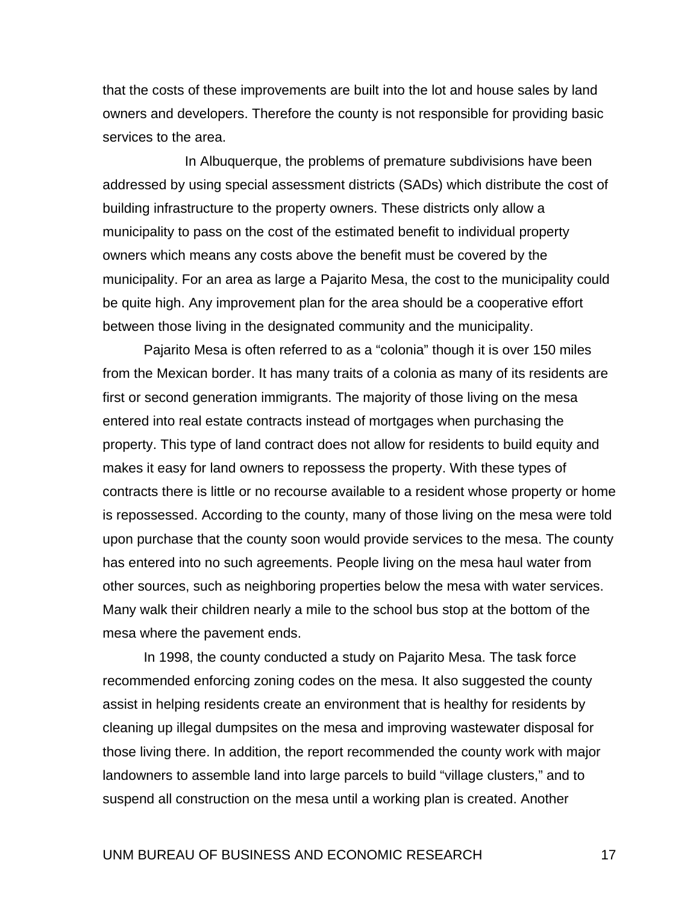that the costs of these improvements are built into the lot and house sales by land owners and developers. Therefore the county is not responsible for providing basic services to the area.

 In Albuquerque, the problems of premature subdivisions have been addressed by using special assessment districts (SADs) which distribute the cost of building infrastructure to the property owners. These districts only allow a municipality to pass on the cost of the estimated benefit to individual property owners which means any costs above the benefit must be covered by the municipality. For an area as large a Pajarito Mesa, the cost to the municipality could be quite high. Any improvement plan for the area should be a cooperative effort between those living in the designated community and the municipality.

Pajarito Mesa is often referred to as a "colonia" though it is over 150 miles from the Mexican border. It has many traits of a colonia as many of its residents are first or second generation immigrants. The majority of those living on the mesa entered into real estate contracts instead of mortgages when purchasing the property. This type of land contract does not allow for residents to build equity and makes it easy for land owners to repossess the property. With these types of contracts there is little or no recourse available to a resident whose property or home is repossessed. According to the county, many of those living on the mesa were told upon purchase that the county soon would provide services to the mesa. The county has entered into no such agreements. People living on the mesa haul water from other sources, such as neighboring properties below the mesa with water services. Many walk their children nearly a mile to the school bus stop at the bottom of the mesa where the pavement ends.

In 1998, the county conducted a study on Pajarito Mesa. The task force recommended enforcing zoning codes on the mesa. It also suggested the county assist in helping residents create an environment that is healthy for residents by cleaning up illegal dumpsites on the mesa and improving wastewater disposal for those living there. In addition, the report recommended the county work with major landowners to assemble land into large parcels to build "village clusters," and to suspend all construction on the mesa until a working plan is created. Another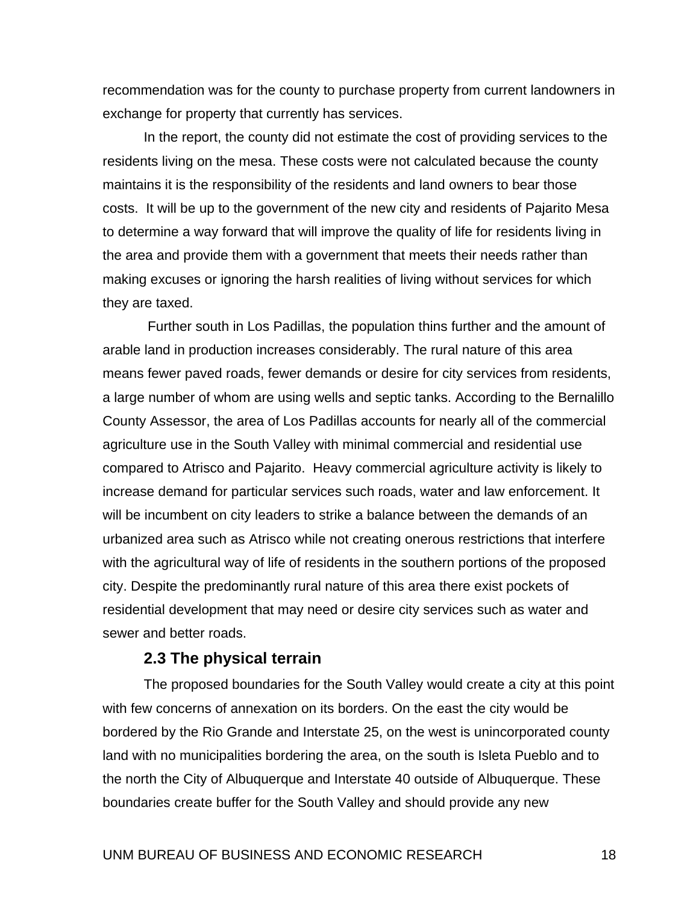recommendation was for the county to purchase property from current landowners in exchange for property that currently has services.

In the report, the county did not estimate the cost of providing services to the residents living on the mesa. These costs were not calculated because the county maintains it is the responsibility of the residents and land owners to bear those costs. It will be up to the government of the new city and residents of Pajarito Mesa to determine a way forward that will improve the quality of life for residents living in the area and provide them with a government that meets their needs rather than making excuses or ignoring the harsh realities of living without services for which they are taxed.

 Further south in Los Padillas, the population thins further and the amount of arable land in production increases considerably. The rural nature of this area means fewer paved roads, fewer demands or desire for city services from residents, a large number of whom are using wells and septic tanks. According to the Bernalillo County Assessor, the area of Los Padillas accounts for nearly all of the commercial agriculture use in the South Valley with minimal commercial and residential use compared to Atrisco and Pajarito. Heavy commercial agriculture activity is likely to increase demand for particular services such roads, water and law enforcement. It will be incumbent on city leaders to strike a balance between the demands of an urbanized area such as Atrisco while not creating onerous restrictions that interfere with the agricultural way of life of residents in the southern portions of the proposed city. Despite the predominantly rural nature of this area there exist pockets of residential development that may need or desire city services such as water and sewer and better roads.

#### **2.3 The physical terrain**

 The proposed boundaries for the South Valley would create a city at this point with few concerns of annexation on its borders. On the east the city would be bordered by the Rio Grande and Interstate 25, on the west is unincorporated county land with no municipalities bordering the area, on the south is Isleta Pueblo and to the north the City of Albuquerque and Interstate 40 outside of Albuquerque. These boundaries create buffer for the South Valley and should provide any new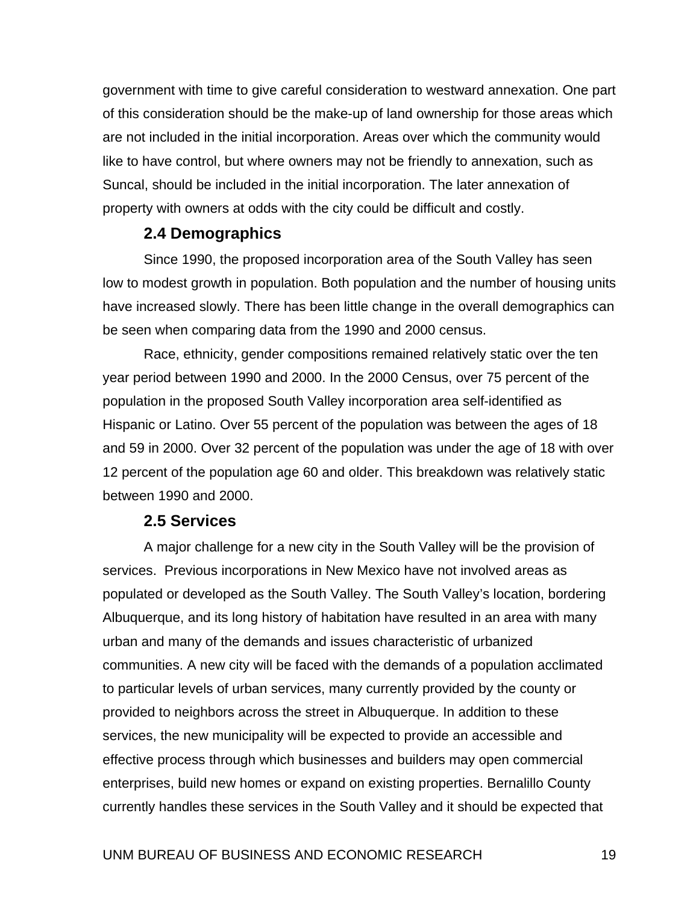government with time to give careful consideration to westward annexation. One part of this consideration should be the make-up of land ownership for those areas which are not included in the initial incorporation. Areas over which the community would like to have control, but where owners may not be friendly to annexation, such as Suncal, should be included in the initial incorporation. The later annexation of property with owners at odds with the city could be difficult and costly.

### **2.4 Demographics**

 Since 1990, the proposed incorporation area of the South Valley has seen low to modest growth in population. Both population and the number of housing units have increased slowly. There has been little change in the overall demographics can be seen when comparing data from the 1990 and 2000 census.

 Race, ethnicity, gender compositions remained relatively static over the ten year period between 1990 and 2000. In the 2000 Census, over 75 percent of the population in the proposed South Valley incorporation area self-identified as Hispanic or Latino. Over 55 percent of the population was between the ages of 18 and 59 in 2000. Over 32 percent of the population was under the age of 18 with over 12 percent of the population age 60 and older. This breakdown was relatively static between 1990 and 2000.

#### **2.5 Services**

A major challenge for a new city in the South Valley will be the provision of services. Previous incorporations in New Mexico have not involved areas as populated or developed as the South Valley. The South Valley's location, bordering Albuquerque, and its long history of habitation have resulted in an area with many urban and many of the demands and issues characteristic of urbanized communities. A new city will be faced with the demands of a population acclimated to particular levels of urban services, many currently provided by the county or provided to neighbors across the street in Albuquerque. In addition to these services, the new municipality will be expected to provide an accessible and effective process through which businesses and builders may open commercial enterprises, build new homes or expand on existing properties. Bernalillo County currently handles these services in the South Valley and it should be expected that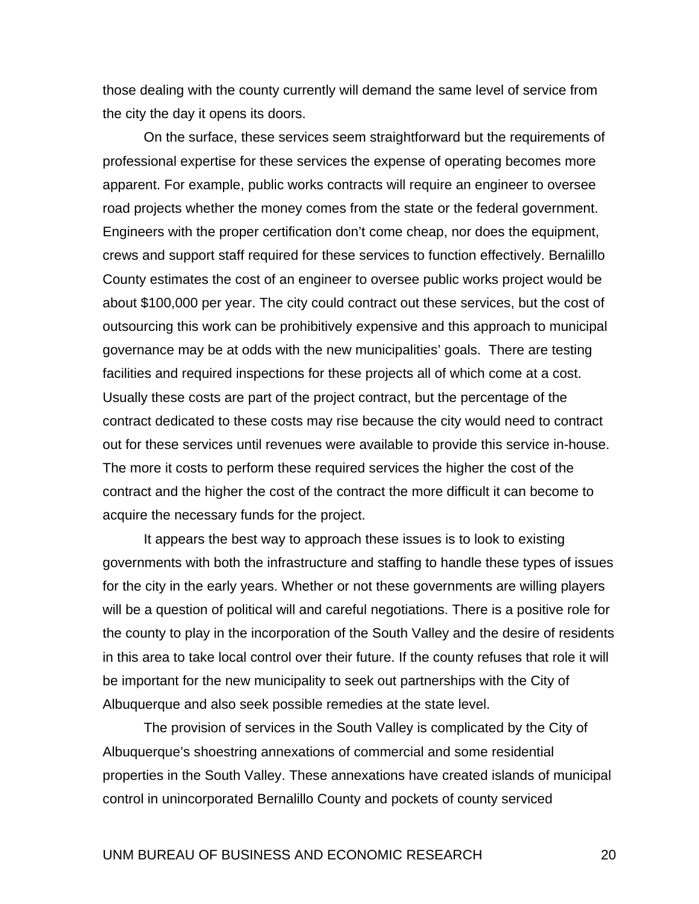those dealing with the county currently will demand the same level of service from the city the day it opens its doors.

 On the surface, these services seem straightforward but the requirements of professional expertise for these services the expense of operating becomes more apparent. For example, public works contracts will require an engineer to oversee road projects whether the money comes from the state or the federal government. Engineers with the proper certification don't come cheap, nor does the equipment, crews and support staff required for these services to function effectively. Bernalillo County estimates the cost of an engineer to oversee public works project would be about \$100,000 per year. The city could contract out these services, but the cost of outsourcing this work can be prohibitively expensive and this approach to municipal governance may be at odds with the new municipalities' goals. There are testing facilities and required inspections for these projects all of which come at a cost. Usually these costs are part of the project contract, but the percentage of the contract dedicated to these costs may rise because the city would need to contract out for these services until revenues were available to provide this service in-house. The more it costs to perform these required services the higher the cost of the contract and the higher the cost of the contract the more difficult it can become to acquire the necessary funds for the project.

It appears the best way to approach these issues is to look to existing governments with both the infrastructure and staffing to handle these types of issues for the city in the early years. Whether or not these governments are willing players will be a question of political will and careful negotiations. There is a positive role for the county to play in the incorporation of the South Valley and the desire of residents in this area to take local control over their future. If the county refuses that role it will be important for the new municipality to seek out partnerships with the City of Albuquerque and also seek possible remedies at the state level.

The provision of services in the South Valley is complicated by the City of Albuquerque's shoestring annexations of commercial and some residential properties in the South Valley. These annexations have created islands of municipal control in unincorporated Bernalillo County and pockets of county serviced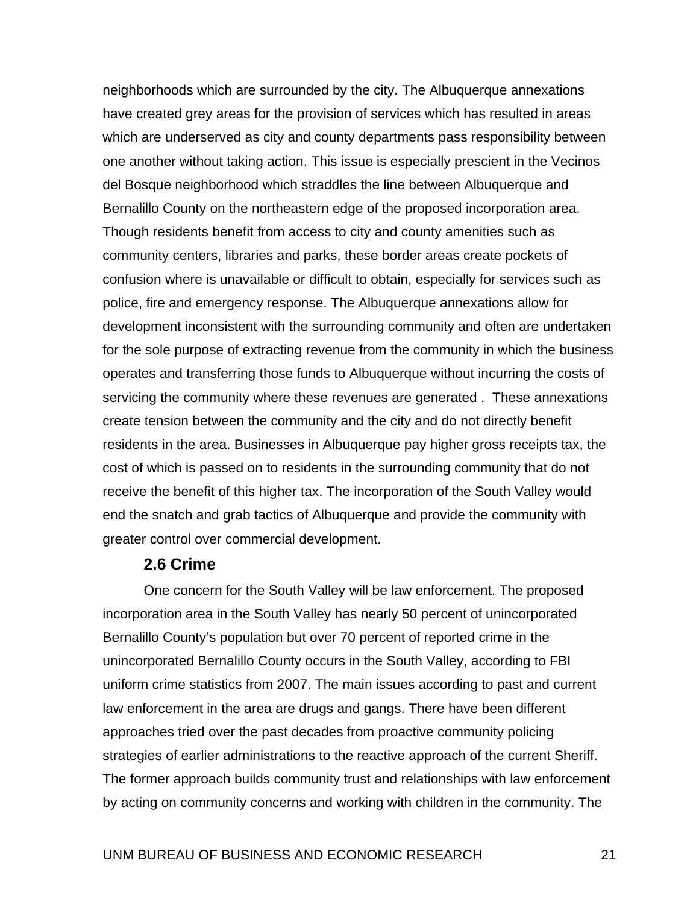neighborhoods which are surrounded by the city. The Albuquerque annexations have created grey areas for the provision of services which has resulted in areas which are underserved as city and county departments pass responsibility between one another without taking action. This issue is especially prescient in the Vecinos del Bosque neighborhood which straddles the line between Albuquerque and Bernalillo County on the northeastern edge of the proposed incorporation area. Though residents benefit from access to city and county amenities such as community centers, libraries and parks, these border areas create pockets of confusion where is unavailable or difficult to obtain, especially for services such as police, fire and emergency response. The Albuquerque annexations allow for development inconsistent with the surrounding community and often are undertaken for the sole purpose of extracting revenue from the community in which the business operates and transferring those funds to Albuquerque without incurring the costs of servicing the community where these revenues are generated . These annexations create tension between the community and the city and do not directly benefit residents in the area. Businesses in Albuquerque pay higher gross receipts tax, the cost of which is passed on to residents in the surrounding community that do not receive the benefit of this higher tax. The incorporation of the South Valley would end the snatch and grab tactics of Albuquerque and provide the community with greater control over commercial development.

#### **2.6 Crime**

One concern for the South Valley will be law enforcement. The proposed incorporation area in the South Valley has nearly 50 percent of unincorporated Bernalillo County's population but over 70 percent of reported crime in the unincorporated Bernalillo County occurs in the South Valley, according to FBI uniform crime statistics from 2007. The main issues according to past and current law enforcement in the area are drugs and gangs. There have been different approaches tried over the past decades from proactive community policing strategies of earlier administrations to the reactive approach of the current Sheriff. The former approach builds community trust and relationships with law enforcement by acting on community concerns and working with children in the community. The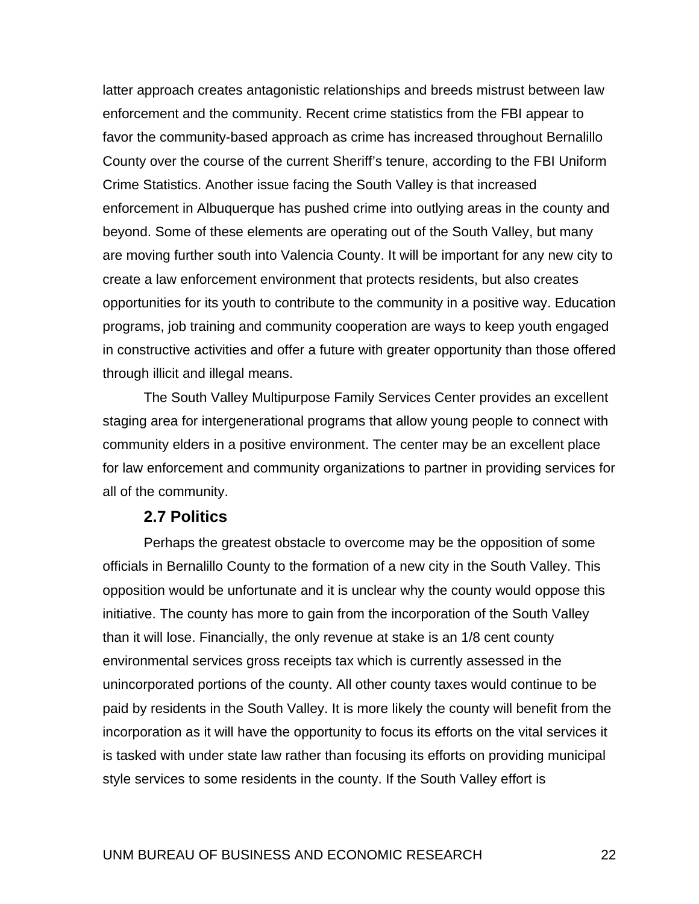latter approach creates antagonistic relationships and breeds mistrust between law enforcement and the community. Recent crime statistics from the FBI appear to favor the community-based approach as crime has increased throughout Bernalillo County over the course of the current Sheriff's tenure, according to the FBI Uniform Crime Statistics. Another issue facing the South Valley is that increased enforcement in Albuquerque has pushed crime into outlying areas in the county and beyond. Some of these elements are operating out of the South Valley, but many are moving further south into Valencia County. It will be important for any new city to create a law enforcement environment that protects residents, but also creates opportunities for its youth to contribute to the community in a positive way. Education programs, job training and community cooperation are ways to keep youth engaged in constructive activities and offer a future with greater opportunity than those offered through illicit and illegal means.

 The South Valley Multipurpose Family Services Center provides an excellent staging area for intergenerational programs that allow young people to connect with community elders in a positive environment. The center may be an excellent place for law enforcement and community organizations to partner in providing services for all of the community.

#### **2.7 Politics**

Perhaps the greatest obstacle to overcome may be the opposition of some officials in Bernalillo County to the formation of a new city in the South Valley. This opposition would be unfortunate and it is unclear why the county would oppose this initiative. The county has more to gain from the incorporation of the South Valley than it will lose. Financially, the only revenue at stake is an 1/8 cent county environmental services gross receipts tax which is currently assessed in the unincorporated portions of the county. All other county taxes would continue to be paid by residents in the South Valley. It is more likely the county will benefit from the incorporation as it will have the opportunity to focus its efforts on the vital services it is tasked with under state law rather than focusing its efforts on providing municipal style services to some residents in the county. If the South Valley effort is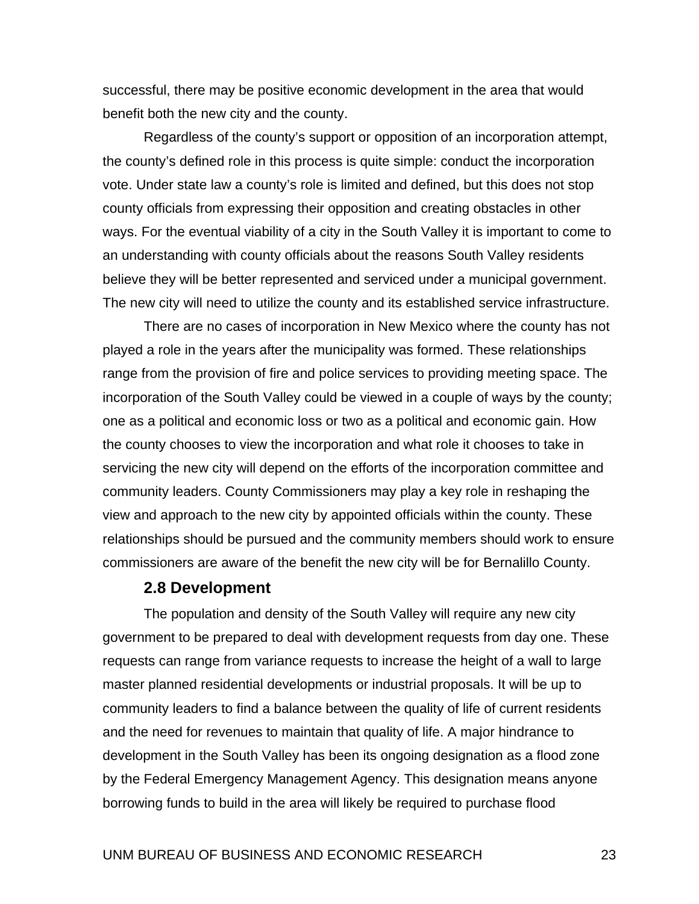successful, there may be positive economic development in the area that would benefit both the new city and the county.

Regardless of the county's support or opposition of an incorporation attempt, the county's defined role in this process is quite simple: conduct the incorporation vote. Under state law a county's role is limited and defined, but this does not stop county officials from expressing their opposition and creating obstacles in other ways. For the eventual viability of a city in the South Valley it is important to come to an understanding with county officials about the reasons South Valley residents believe they will be better represented and serviced under a municipal government. The new city will need to utilize the county and its established service infrastructure.

There are no cases of incorporation in New Mexico where the county has not played a role in the years after the municipality was formed. These relationships range from the provision of fire and police services to providing meeting space. The incorporation of the South Valley could be viewed in a couple of ways by the county; one as a political and economic loss or two as a political and economic gain. How the county chooses to view the incorporation and what role it chooses to take in servicing the new city will depend on the efforts of the incorporation committee and community leaders. County Commissioners may play a key role in reshaping the view and approach to the new city by appointed officials within the county. These relationships should be pursued and the community members should work to ensure commissioners are aware of the benefit the new city will be for Bernalillo County.

#### **2.8 Development**

The population and density of the South Valley will require any new city government to be prepared to deal with development requests from day one. These requests can range from variance requests to increase the height of a wall to large master planned residential developments or industrial proposals. It will be up to community leaders to find a balance between the quality of life of current residents and the need for revenues to maintain that quality of life. A major hindrance to development in the South Valley has been its ongoing designation as a flood zone by the Federal Emergency Management Agency. This designation means anyone borrowing funds to build in the area will likely be required to purchase flood

#### UNM BUREAU OF BUSINESS AND ECONOMIC RESEARCH 23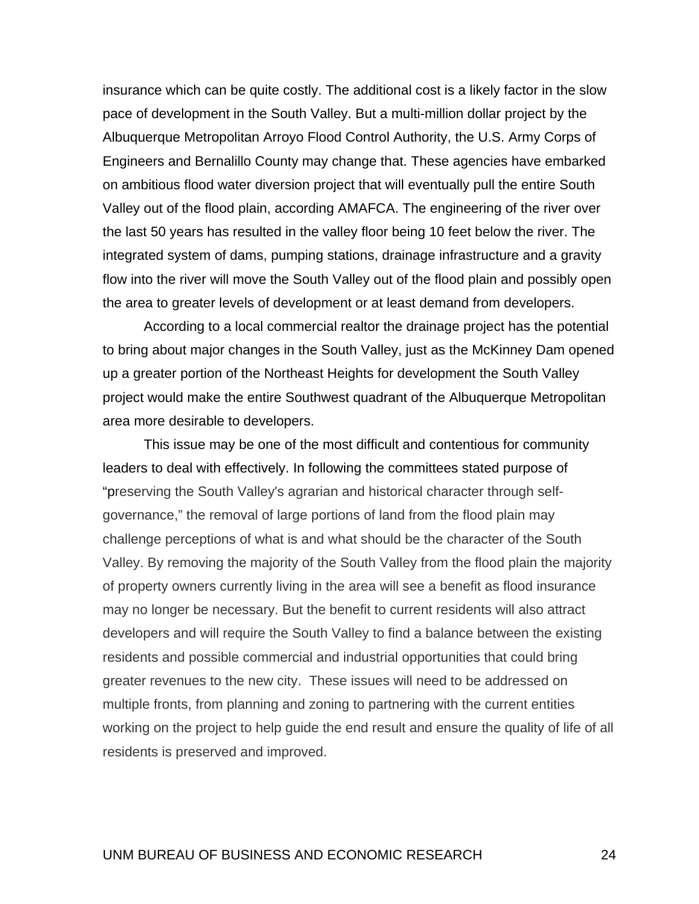insurance which can be quite costly. The additional cost is a likely factor in the slow pace of development in the South Valley. But a multi-million dollar project by the Albuquerque Metropolitan Arroyo Flood Control Authority, the U.S. Army Corps of Engineers and Bernalillo County may change that. These agencies have embarked on ambitious flood water diversion project that will eventually pull the entire South Valley out of the flood plain, according AMAFCA. The engineering of the river over the last 50 years has resulted in the valley floor being 10 feet below the river. The integrated system of dams, pumping stations, drainage infrastructure and a gravity flow into the river will move the South Valley out of the flood plain and possibly open the area to greater levels of development or at least demand from developers.

 According to a local commercial realtor the drainage project has the potential to bring about major changes in the South Valley, just as the McKinney Dam opened up a greater portion of the Northeast Heights for development the South Valley project would make the entire Southwest quadrant of the Albuquerque Metropolitan area more desirable to developers.

 This issue may be one of the most difficult and contentious for community leaders to deal with effectively. In following the committees stated purpose of "preserving the South Valley's agrarian and historical character through selfgovernance," the removal of large portions of land from the flood plain may challenge perceptions of what is and what should be the character of the South Valley. By removing the majority of the South Valley from the flood plain the majority of property owners currently living in the area will see a benefit as flood insurance may no longer be necessary. But the benefit to current residents will also attract developers and will require the South Valley to find a balance between the existing residents and possible commercial and industrial opportunities that could bring greater revenues to the new city. These issues will need to be addressed on multiple fronts, from planning and zoning to partnering with the current entities working on the project to help guide the end result and ensure the quality of life of all residents is preserved and improved.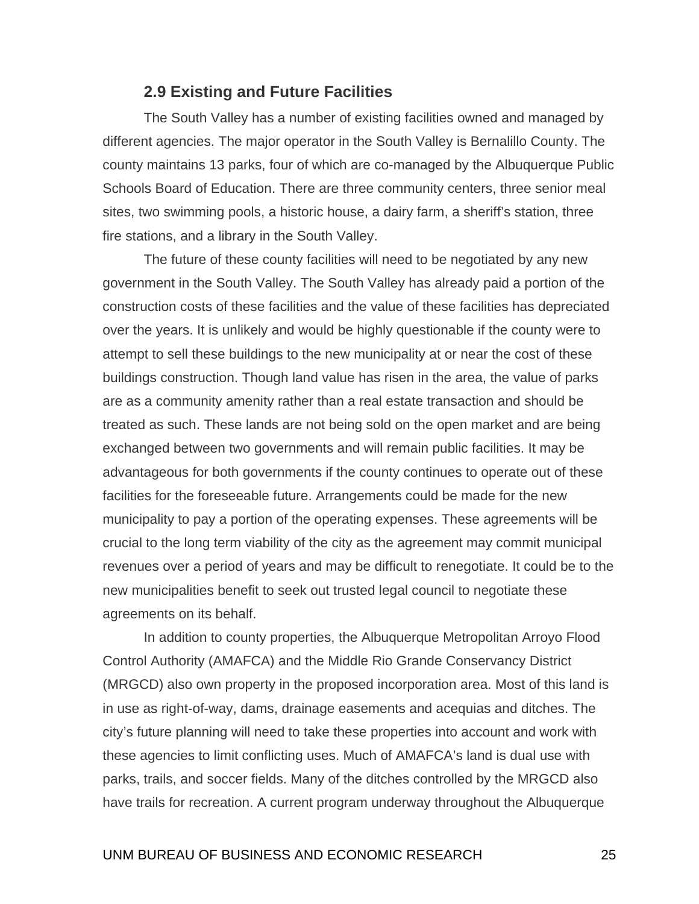#### **2.9 Existing and Future Facilities**

The South Valley has a number of existing facilities owned and managed by different agencies. The major operator in the South Valley is Bernalillo County. The county maintains 13 parks, four of which are co-managed by the Albuquerque Public Schools Board of Education. There are three community centers, three senior meal sites, two swimming pools, a historic house, a dairy farm, a sheriff's station, three fire stations, and a library in the South Valley.

 The future of these county facilities will need to be negotiated by any new government in the South Valley. The South Valley has already paid a portion of the construction costs of these facilities and the value of these facilities has depreciated over the years. It is unlikely and would be highly questionable if the county were to attempt to sell these buildings to the new municipality at or near the cost of these buildings construction. Though land value has risen in the area, the value of parks are as a community amenity rather than a real estate transaction and should be treated as such. These lands are not being sold on the open market and are being exchanged between two governments and will remain public facilities. It may be advantageous for both governments if the county continues to operate out of these facilities for the foreseeable future. Arrangements could be made for the new municipality to pay a portion of the operating expenses. These agreements will be crucial to the long term viability of the city as the agreement may commit municipal revenues over a period of years and may be difficult to renegotiate. It could be to the new municipalities benefit to seek out trusted legal council to negotiate these agreements on its behalf.

 In addition to county properties, the Albuquerque Metropolitan Arroyo Flood Control Authority (AMAFCA) and the Middle Rio Grande Conservancy District (MRGCD) also own property in the proposed incorporation area. Most of this land is in use as right-of-way, dams, drainage easements and acequias and ditches. The city's future planning will need to take these properties into account and work with these agencies to limit conflicting uses. Much of AMAFCA's land is dual use with parks, trails, and soccer fields. Many of the ditches controlled by the MRGCD also have trails for recreation. A current program underway throughout the Albuquerque

#### UNM BUREAU OF BUSINESS AND ECONOMIC RESEARCH 25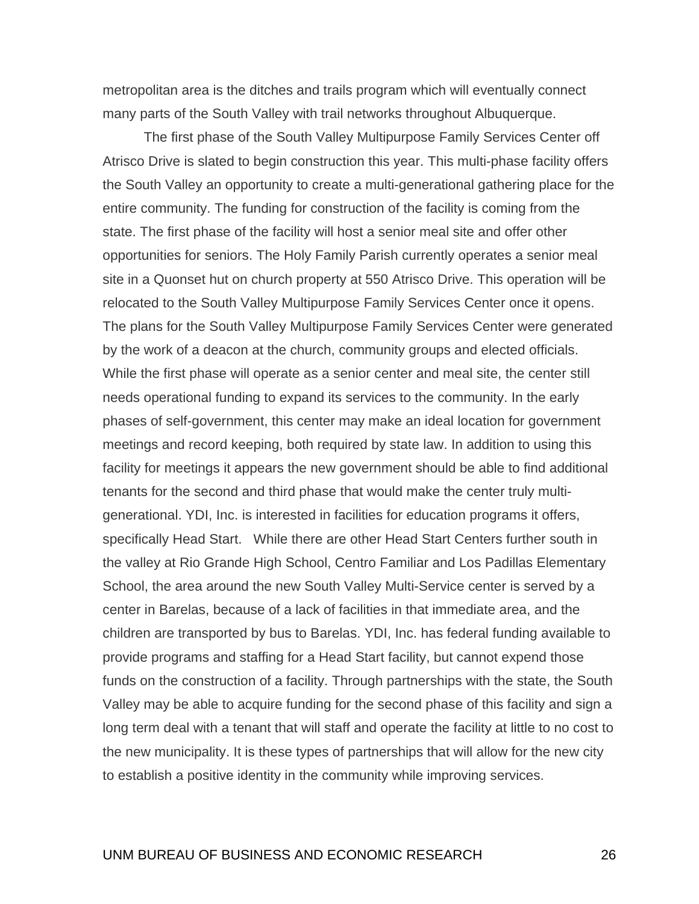metropolitan area is the ditches and trails program which will eventually connect many parts of the South Valley with trail networks throughout Albuquerque.

 The first phase of the South Valley Multipurpose Family Services Center off Atrisco Drive is slated to begin construction this year. This multi-phase facility offers the South Valley an opportunity to create a multi-generational gathering place for the entire community. The funding for construction of the facility is coming from the state. The first phase of the facility will host a senior meal site and offer other opportunities for seniors. The Holy Family Parish currently operates a senior meal site in a Quonset hut on church property at 550 Atrisco Drive. This operation will be relocated to the South Valley Multipurpose Family Services Center once it opens. The plans for the South Valley Multipurpose Family Services Center were generated by the work of a deacon at the church, community groups and elected officials. While the first phase will operate as a senior center and meal site, the center still needs operational funding to expand its services to the community. In the early phases of self-government, this center may make an ideal location for government meetings and record keeping, both required by state law. In addition to using this facility for meetings it appears the new government should be able to find additional tenants for the second and third phase that would make the center truly multigenerational. YDI, Inc. is interested in facilities for education programs it offers, specifically Head Start. While there are other Head Start Centers further south in the valley at Rio Grande High School, Centro Familiar and Los Padillas Elementary School, the area around the new South Valley Multi-Service center is served by a center in Barelas, because of a lack of facilities in that immediate area, and the children are transported by bus to Barelas. YDI, Inc. has federal funding available to provide programs and staffing for a Head Start facility, but cannot expend those funds on the construction of a facility. Through partnerships with the state, the South Valley may be able to acquire funding for the second phase of this facility and sign a long term deal with a tenant that will staff and operate the facility at little to no cost to the new municipality. It is these types of partnerships that will allow for the new city to establish a positive identity in the community while improving services.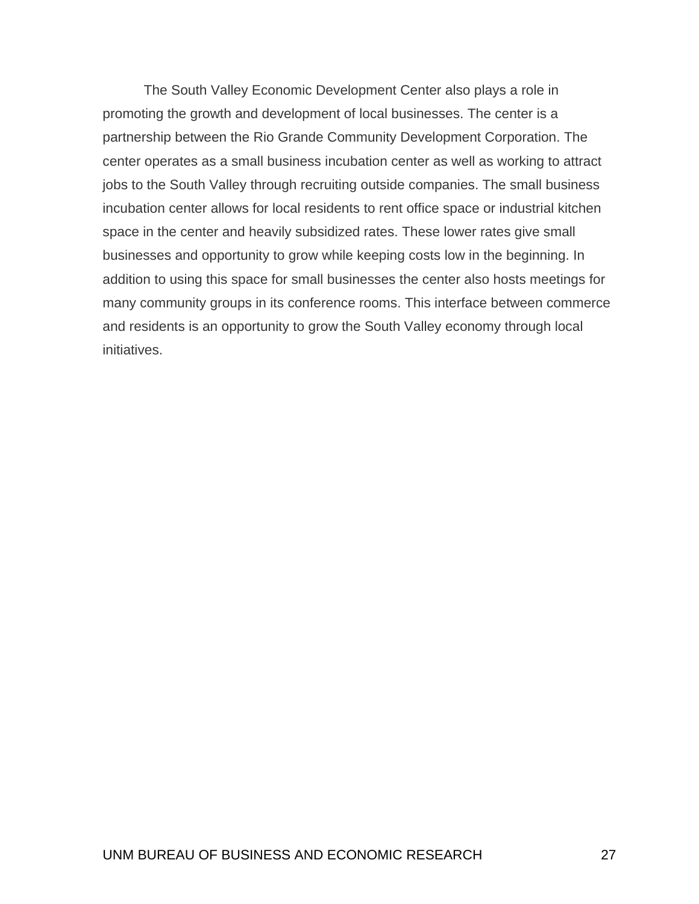The South Valley Economic Development Center also plays a role in promoting the growth and development of local businesses. The center is a partnership between the Rio Grande Community Development Corporation. The center operates as a small business incubation center as well as working to attract jobs to the South Valley through recruiting outside companies. The small business incubation center allows for local residents to rent office space or industrial kitchen space in the center and heavily subsidized rates. These lower rates give small businesses and opportunity to grow while keeping costs low in the beginning. In addition to using this space for small businesses the center also hosts meetings for many community groups in its conference rooms. This interface between commerce and residents is an opportunity to grow the South Valley economy through local initiatives.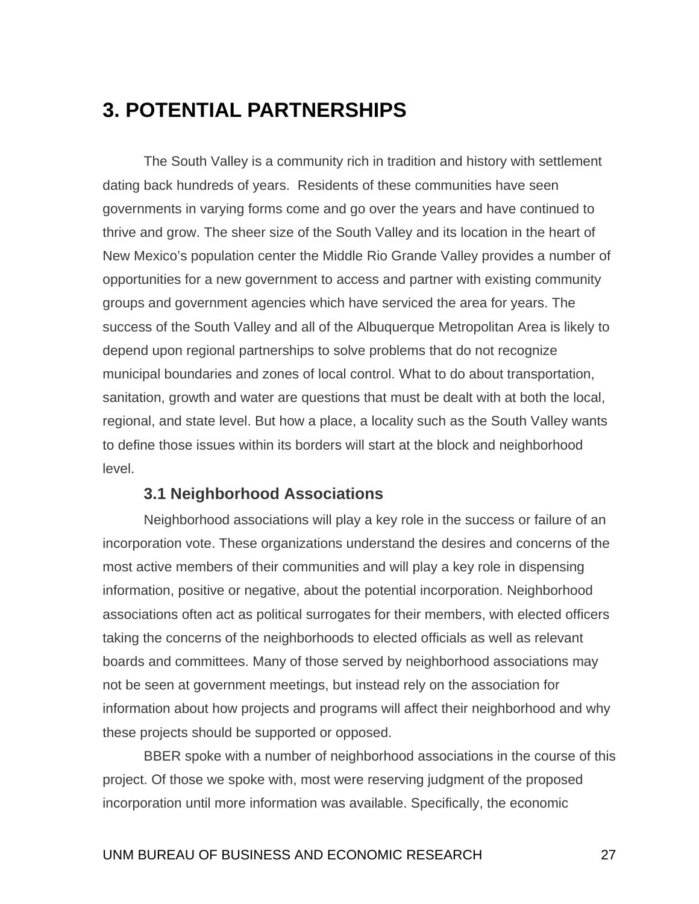# <span id="page-37-0"></span>**3. POTENTIAL PARTNERSHIPS**

The South Valley is a community rich in tradition and history with settlement dating back hundreds of years. Residents of these communities have seen governments in varying forms come and go over the years and have continued to thrive and grow. The sheer size of the South Valley and its location in the heart of New Mexico's population center the Middle Rio Grande Valley provides a number of opportunities for a new government to access and partner with existing community groups and government agencies which have serviced the area for years. The success of the South Valley and all of the Albuquerque Metropolitan Area is likely to depend upon regional partnerships to solve problems that do not recognize municipal boundaries and zones of local control. What to do about transportation, sanitation, growth and water are questions that must be dealt with at both the local, regional, and state level. But how a place, a locality such as the South Valley wants to define those issues within its borders will start at the block and neighborhood level.

### **3.1 Neighborhood Associations**

 Neighborhood associations will play a key role in the success or failure of an incorporation vote. These organizations understand the desires and concerns of the most active members of their communities and will play a key role in dispensing information, positive or negative, about the potential incorporation. Neighborhood associations often act as political surrogates for their members, with elected officers taking the concerns of the neighborhoods to elected officials as well as relevant boards and committees. Many of those served by neighborhood associations may not be seen at government meetings, but instead rely on the association for information about how projects and programs will affect their neighborhood and why these projects should be supported or opposed.

 BBER spoke with a number of neighborhood associations in the course of this project. Of those we spoke with, most were reserving judgment of the proposed incorporation until more information was available. Specifically, the economic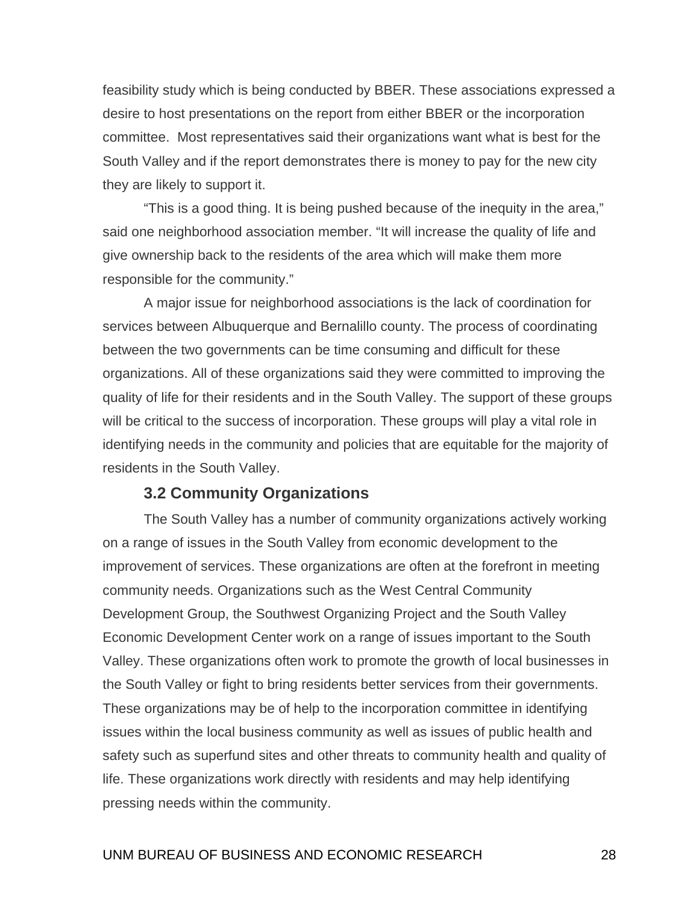feasibility study which is being conducted by BBER. These associations expressed a desire to host presentations on the report from either BBER or the incorporation committee. Most representatives said their organizations want what is best for the South Valley and if the report demonstrates there is money to pay for the new city they are likely to support it.

 "This is a good thing. It is being pushed because of the inequity in the area," said one neighborhood association member. "It will increase the quality of life and give ownership back to the residents of the area which will make them more responsible for the community."

 A major issue for neighborhood associations is the lack of coordination for services between Albuquerque and Bernalillo county. The process of coordinating between the two governments can be time consuming and difficult for these organizations. All of these organizations said they were committed to improving the quality of life for their residents and in the South Valley. The support of these groups will be critical to the success of incorporation. These groups will play a vital role in identifying needs in the community and policies that are equitable for the majority of residents in the South Valley.

### **3.2 Community Organizations**

 The South Valley has a number of community organizations actively working on a range of issues in the South Valley from economic development to the improvement of services. These organizations are often at the forefront in meeting community needs. Organizations such as the West Central Community Development Group, the Southwest Organizing Project and the South Valley Economic Development Center work on a range of issues important to the South Valley. These organizations often work to promote the growth of local businesses in the South Valley or fight to bring residents better services from their governments. These organizations may be of help to the incorporation committee in identifying issues within the local business community as well as issues of public health and safety such as superfund sites and other threats to community health and quality of life. These organizations work directly with residents and may help identifying pressing needs within the community.

#### UNM BUREAU OF BUSINESS AND ECONOMIC RESEARCH 28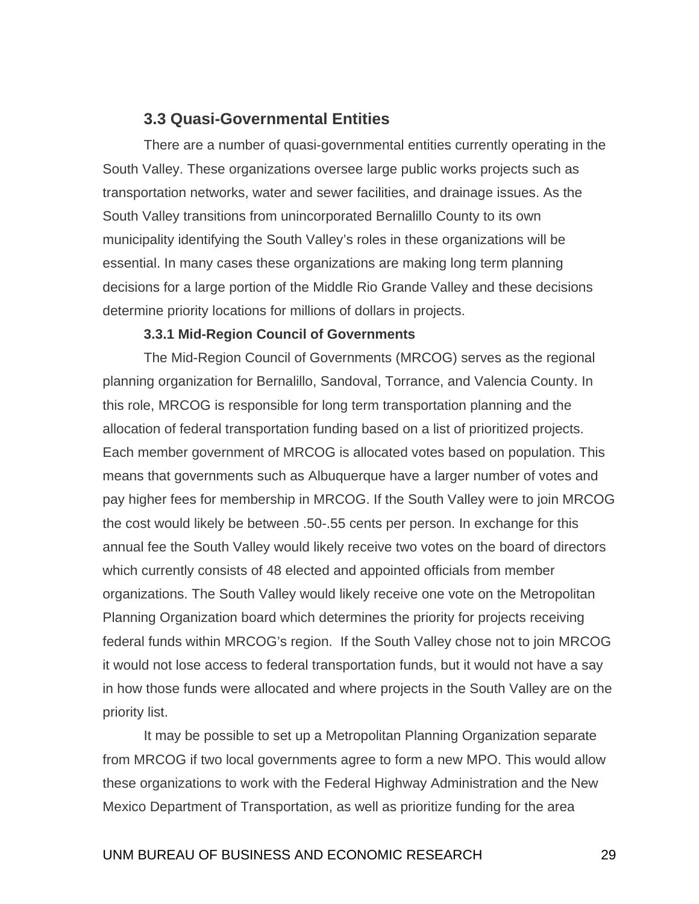### **3.3 Quasi-Governmental Entities**

 There are a number of quasi-governmental entities currently operating in the South Valley. These organizations oversee large public works projects such as transportation networks, water and sewer facilities, and drainage issues. As the South Valley transitions from unincorporated Bernalillo County to its own municipality identifying the South Valley's roles in these organizations will be essential. In many cases these organizations are making long term planning decisions for a large portion of the Middle Rio Grande Valley and these decisions determine priority locations for millions of dollars in projects.

#### **3.3.1 Mid-Region Council of Governments**

 The Mid-Region Council of Governments (MRCOG) serves as the regional planning organization for Bernalillo, Sandoval, Torrance, and Valencia County. In this role, MRCOG is responsible for long term transportation planning and the allocation of federal transportation funding based on a list of prioritized projects. Each member government of MRCOG is allocated votes based on population. This means that governments such as Albuquerque have a larger number of votes and pay higher fees for membership in MRCOG. If the South Valley were to join MRCOG the cost would likely be between .50-.55 cents per person. In exchange for this annual fee the South Valley would likely receive two votes on the board of directors which currently consists of 48 elected and appointed officials from member organizations. The South Valley would likely receive one vote on the Metropolitan Planning Organization board which determines the priority for projects receiving federal funds within MRCOG's region. If the South Valley chose not to join MRCOG it would not lose access to federal transportation funds, but it would not have a say in how those funds were allocated and where projects in the South Valley are on the priority list.

It may be possible to set up a Metropolitan Planning Organization separate from MRCOG if two local governments agree to form a new MPO. This would allow these organizations to work with the Federal Highway Administration and the New Mexico Department of Transportation, as well as prioritize funding for the area

### UNM BUREAU OF BUSINESS AND ECONOMIC RESEARCH 29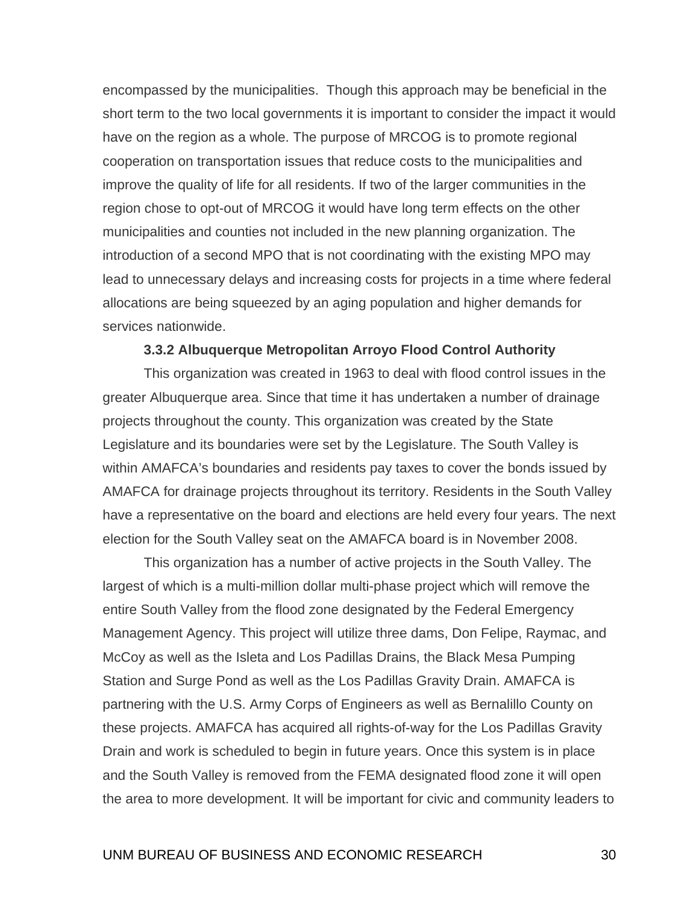encompassed by the municipalities. Though this approach may be beneficial in the short term to the two local governments it is important to consider the impact it would have on the region as a whole. The purpose of MRCOG is to promote regional cooperation on transportation issues that reduce costs to the municipalities and improve the quality of life for all residents. If two of the larger communities in the region chose to opt-out of MRCOG it would have long term effects on the other municipalities and counties not included in the new planning organization. The introduction of a second MPO that is not coordinating with the existing MPO may lead to unnecessary delays and increasing costs for projects in a time where federal allocations are being squeezed by an aging population and higher demands for services nationwide.

#### **3.3.2 Albuquerque Metropolitan Arroyo Flood Control Authority**

This organization was created in 1963 to deal with flood control issues in the greater Albuquerque area. Since that time it has undertaken a number of drainage projects throughout the county. This organization was created by the State Legislature and its boundaries were set by the Legislature. The South Valley is within AMAFCA's boundaries and residents pay taxes to cover the bonds issued by AMAFCA for drainage projects throughout its territory. Residents in the South Valley have a representative on the board and elections are held every four years. The next election for the South Valley seat on the AMAFCA board is in November 2008.

This organization has a number of active projects in the South Valley. The largest of which is a multi-million dollar multi-phase project which will remove the entire South Valley from the flood zone designated by the Federal Emergency Management Agency. This project will utilize three dams, Don Felipe, Raymac, and McCoy as well as the Isleta and Los Padillas Drains, the Black Mesa Pumping Station and Surge Pond as well as the Los Padillas Gravity Drain. AMAFCA is partnering with the U.S. Army Corps of Engineers as well as Bernalillo County on these projects. AMAFCA has acquired all rights-of-way for the Los Padillas Gravity Drain and work is scheduled to begin in future years. Once this system is in place and the South Valley is removed from the FEMA designated flood zone it will open the area to more development. It will be important for civic and community leaders to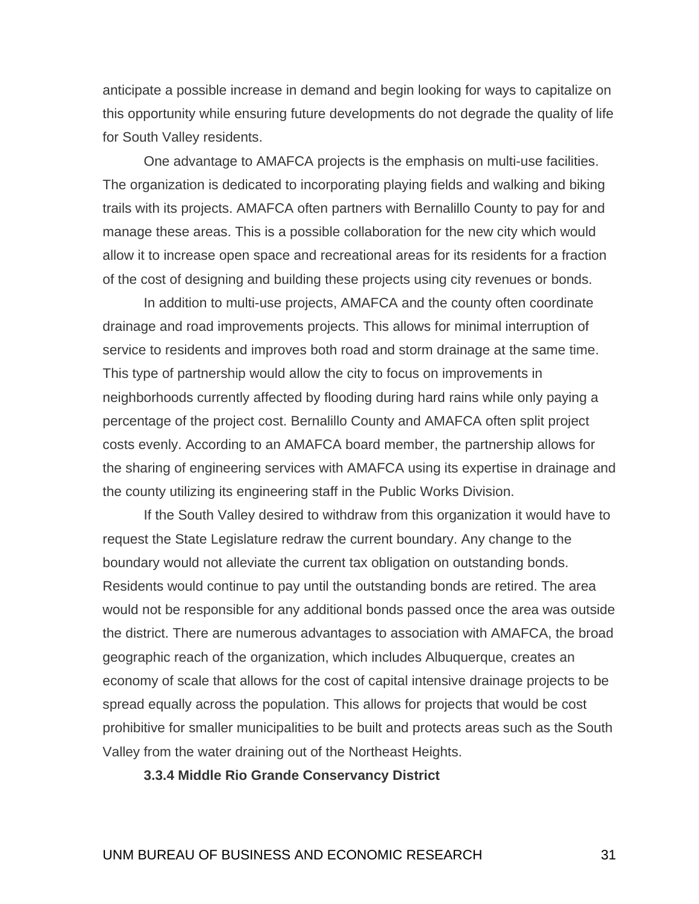anticipate a possible increase in demand and begin looking for ways to capitalize on this opportunity while ensuring future developments do not degrade the quality of life for South Valley residents.

One advantage to AMAFCA projects is the emphasis on multi-use facilities. The organization is dedicated to incorporating playing fields and walking and biking trails with its projects. AMAFCA often partners with Bernalillo County to pay for and manage these areas. This is a possible collaboration for the new city which would allow it to increase open space and recreational areas for its residents for a fraction of the cost of designing and building these projects using city revenues or bonds.

In addition to multi-use projects, AMAFCA and the county often coordinate drainage and road improvements projects. This allows for minimal interruption of service to residents and improves both road and storm drainage at the same time. This type of partnership would allow the city to focus on improvements in neighborhoods currently affected by flooding during hard rains while only paying a percentage of the project cost. Bernalillo County and AMAFCA often split project costs evenly. According to an AMAFCA board member, the partnership allows for the sharing of engineering services with AMAFCA using its expertise in drainage and the county utilizing its engineering staff in the Public Works Division.

If the South Valley desired to withdraw from this organization it would have to request the State Legislature redraw the current boundary. Any change to the boundary would not alleviate the current tax obligation on outstanding bonds. Residents would continue to pay until the outstanding bonds are retired. The area would not be responsible for any additional bonds passed once the area was outside the district. There are numerous advantages to association with AMAFCA, the broad geographic reach of the organization, which includes Albuquerque, creates an economy of scale that allows for the cost of capital intensive drainage projects to be spread equally across the population. This allows for projects that would be cost prohibitive for smaller municipalities to be built and protects areas such as the South Valley from the water draining out of the Northeast Heights.

**3.3.4 Middle Rio Grande Conservancy District**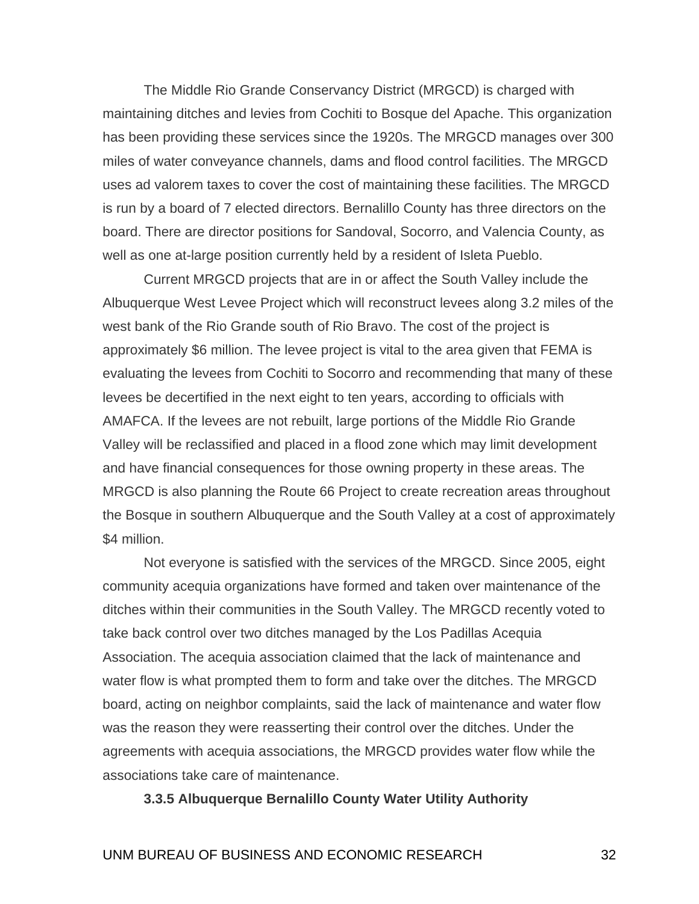The Middle Rio Grande Conservancy District (MRGCD) is charged with maintaining ditches and levies from Cochiti to Bosque del Apache. This organization has been providing these services since the 1920s. The MRGCD manages over 300 miles of water conveyance channels, dams and flood control facilities. The MRGCD uses ad valorem taxes to cover the cost of maintaining these facilities. The MRGCD is run by a board of 7 elected directors. Bernalillo County has three directors on the board. There are director positions for Sandoval, Socorro, and Valencia County, as well as one at-large position currently held by a resident of Isleta Pueblo.

Current MRGCD projects that are in or affect the South Valley include the Albuquerque West Levee Project which will reconstruct levees along 3.2 miles of the west bank of the Rio Grande south of Rio Bravo. The cost of the project is approximately \$6 million. The levee project is vital to the area given that FEMA is evaluating the levees from Cochiti to Socorro and recommending that many of these levees be decertified in the next eight to ten years, according to officials with AMAFCA. If the levees are not rebuilt, large portions of the Middle Rio Grande Valley will be reclassified and placed in a flood zone which may limit development and have financial consequences for those owning property in these areas. The MRGCD is also planning the Route 66 Project to create recreation areas throughout the Bosque in southern Albuquerque and the South Valley at a cost of approximately \$4 million.

Not everyone is satisfied with the services of the MRGCD. Since 2005, eight community acequia organizations have formed and taken over maintenance of the ditches within their communities in the South Valley. The MRGCD recently voted to take back control over two ditches managed by the Los Padillas Acequia Association. The acequia association claimed that the lack of maintenance and water flow is what prompted them to form and take over the ditches. The MRGCD board, acting on neighbor complaints, said the lack of maintenance and water flow was the reason they were reasserting their control over the ditches. Under the agreements with acequia associations, the MRGCD provides water flow while the associations take care of maintenance.

#### **3.3.5 Albuquerque Bernalillo County Water Utility Authority**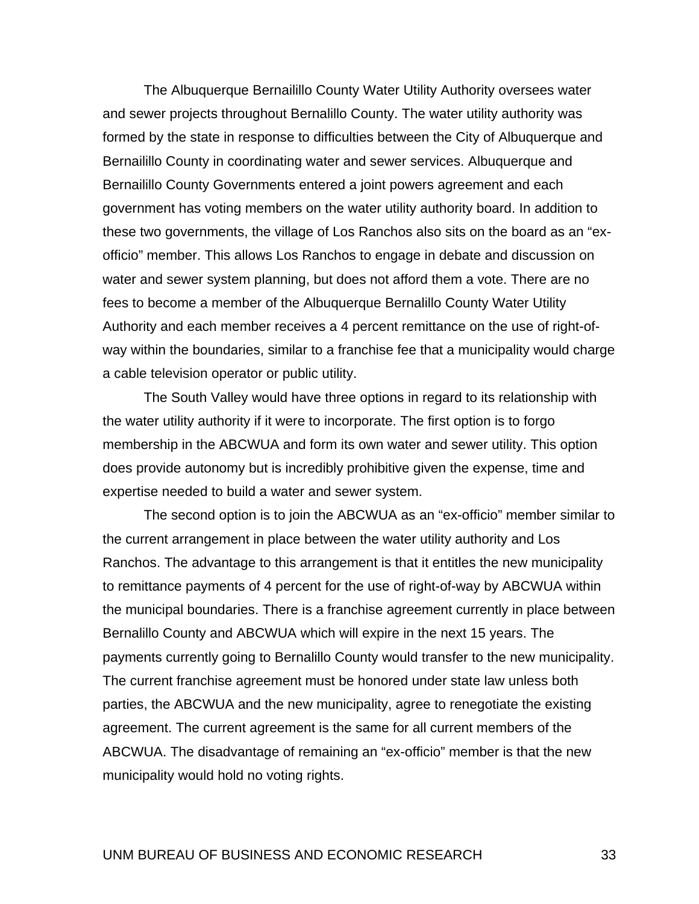The Albuquerque Bernailillo County Water Utility Authority oversees water and sewer projects throughout Bernalillo County. The water utility authority was formed by the state in response to difficulties between the City of Albuquerque and Bernailillo County in coordinating water and sewer services. Albuquerque and Bernailillo County Governments entered a joint powers agreement and each government has voting members on the water utility authority board. In addition to these two governments, the village of Los Ranchos also sits on the board as an "exofficio" member. This allows Los Ranchos to engage in debate and discussion on water and sewer system planning, but does not afford them a vote. There are no fees to become a member of the Albuquerque Bernalillo County Water Utility Authority and each member receives a 4 percent remittance on the use of right-ofway within the boundaries, similar to a franchise fee that a municipality would charge a cable television operator or public utility.

The South Valley would have three options in regard to its relationship with the water utility authority if it were to incorporate. The first option is to forgo membership in the ABCWUA and form its own water and sewer utility. This option does provide autonomy but is incredibly prohibitive given the expense, time and expertise needed to build a water and sewer system.

The second option is to join the ABCWUA as an "ex-officio" member similar to the current arrangement in place between the water utility authority and Los Ranchos. The advantage to this arrangement is that it entitles the new municipality to remittance payments of 4 percent for the use of right-of-way by ABCWUA within the municipal boundaries. There is a franchise agreement currently in place between Bernalillo County and ABCWUA which will expire in the next 15 years. The payments currently going to Bernalillo County would transfer to the new municipality. The current franchise agreement must be honored under state law unless both parties, the ABCWUA and the new municipality, agree to renegotiate the existing agreement. The current agreement is the same for all current members of the ABCWUA. The disadvantage of remaining an "ex-officio" member is that the new municipality would hold no voting rights.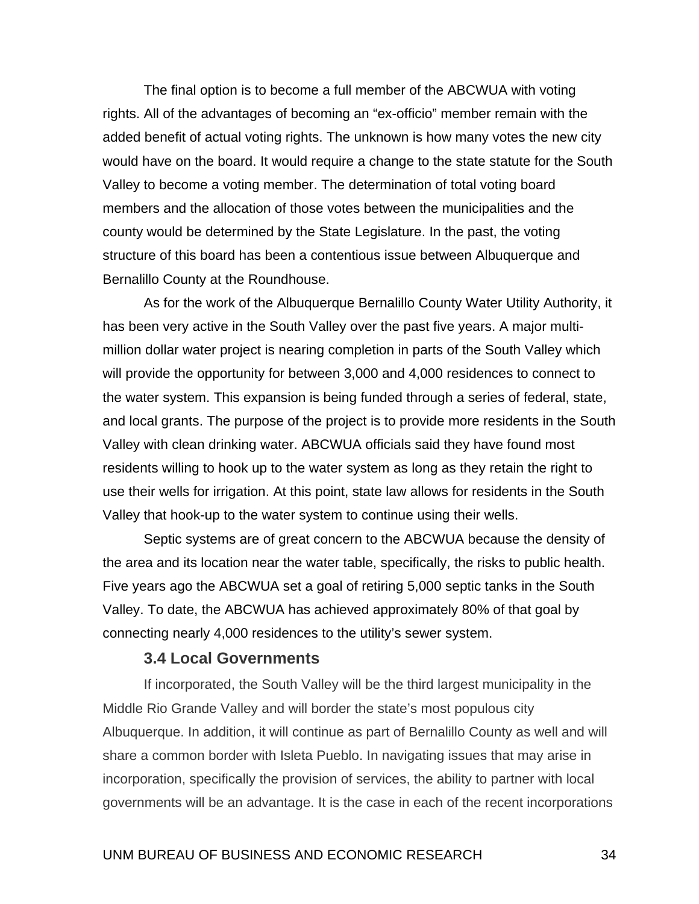The final option is to become a full member of the ABCWUA with voting rights. All of the advantages of becoming an "ex-officio" member remain with the added benefit of actual voting rights. The unknown is how many votes the new city would have on the board. It would require a change to the state statute for the South Valley to become a voting member. The determination of total voting board members and the allocation of those votes between the municipalities and the county would be determined by the State Legislature. In the past, the voting structure of this board has been a contentious issue between Albuquerque and Bernalillo County at the Roundhouse.

As for the work of the Albuquerque Bernalillo County Water Utility Authority, it has been very active in the South Valley over the past five years. A major multimillion dollar water project is nearing completion in parts of the South Valley which will provide the opportunity for between 3,000 and 4,000 residences to connect to the water system. This expansion is being funded through a series of federal, state, and local grants. The purpose of the project is to provide more residents in the South Valley with clean drinking water. ABCWUA officials said they have found most residents willing to hook up to the water system as long as they retain the right to use their wells for irrigation. At this point, state law allows for residents in the South Valley that hook-up to the water system to continue using their wells.

Septic systems are of great concern to the ABCWUA because the density of the area and its location near the water table, specifically, the risks to public health. Five years ago the ABCWUA set a goal of retiring 5,000 septic tanks in the South Valley. To date, the ABCWUA has achieved approximately 80% of that goal by connecting nearly 4,000 residences to the utility's sewer system.

#### **3.4 Local Governments**

 If incorporated, the South Valley will be the third largest municipality in the Middle Rio Grande Valley and will border the state's most populous city Albuquerque. In addition, it will continue as part of Bernalillo County as well and will share a common border with Isleta Pueblo. In navigating issues that may arise in incorporation, specifically the provision of services, the ability to partner with local governments will be an advantage. It is the case in each of the recent incorporations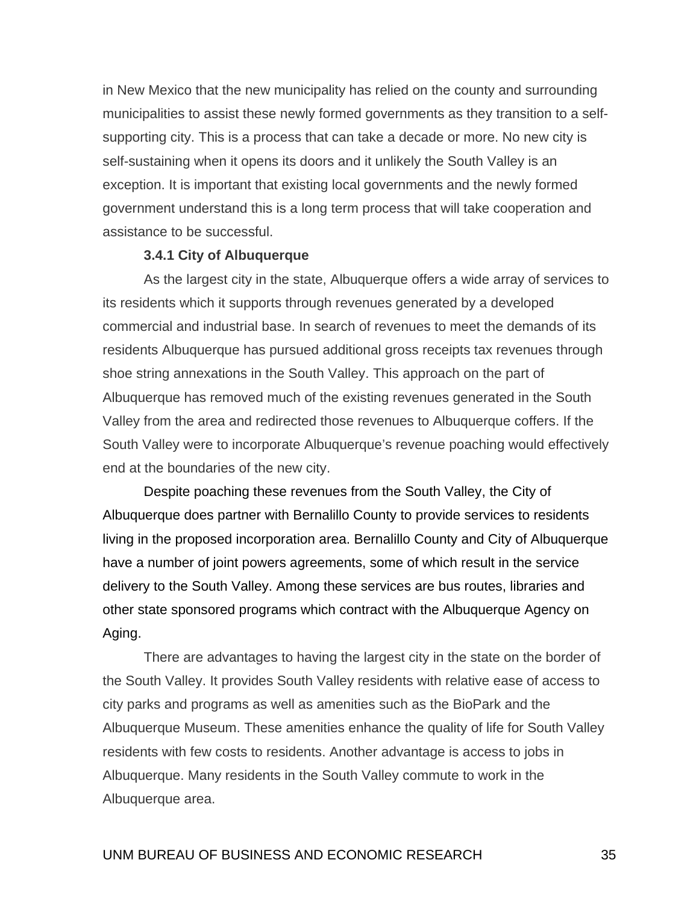in New Mexico that the new municipality has relied on the county and surrounding municipalities to assist these newly formed governments as they transition to a selfsupporting city. This is a process that can take a decade or more. No new city is self-sustaining when it opens its doors and it unlikely the South Valley is an exception. It is important that existing local governments and the newly formed government understand this is a long term process that will take cooperation and assistance to be successful.

#### **3.4.1 City of Albuquerque**

 As the largest city in the state, Albuquerque offers a wide array of services to its residents which it supports through revenues generated by a developed commercial and industrial base. In search of revenues to meet the demands of its residents Albuquerque has pursued additional gross receipts tax revenues through shoe string annexations in the South Valley. This approach on the part of Albuquerque has removed much of the existing revenues generated in the South Valley from the area and redirected those revenues to Albuquerque coffers. If the South Valley were to incorporate Albuquerque's revenue poaching would effectively end at the boundaries of the new city.

Despite poaching these revenues from the South Valley, the City of Albuquerque does partner with Bernalillo County to provide services to residents living in the proposed incorporation area. Bernalillo County and City of Albuquerque have a number of joint powers agreements, some of which result in the service delivery to the South Valley. Among these services are bus routes, libraries and other state sponsored programs which contract with the Albuquerque Agency on Aging.

 There are advantages to having the largest city in the state on the border of the South Valley. It provides South Valley residents with relative ease of access to city parks and programs as well as amenities such as the BioPark and the Albuquerque Museum. These amenities enhance the quality of life for South Valley residents with few costs to residents. Another advantage is access to jobs in Albuquerque. Many residents in the South Valley commute to work in the Albuquerque area.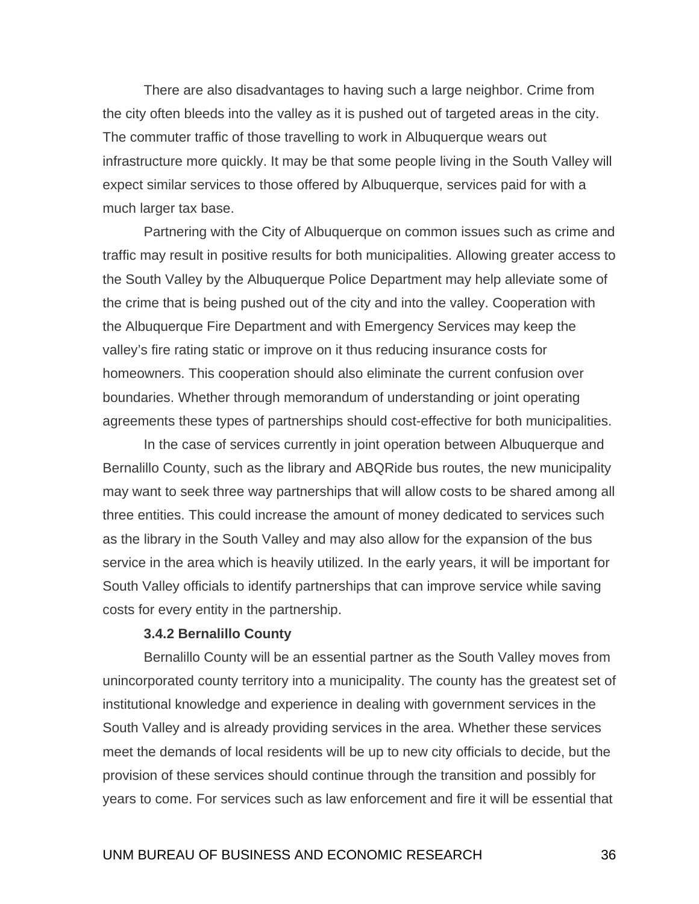There are also disadvantages to having such a large neighbor. Crime from the city often bleeds into the valley as it is pushed out of targeted areas in the city. The commuter traffic of those travelling to work in Albuquerque wears out infrastructure more quickly. It may be that some people living in the South Valley will expect similar services to those offered by Albuquerque, services paid for with a much larger tax base.

 Partnering with the City of Albuquerque on common issues such as crime and traffic may result in positive results for both municipalities. Allowing greater access to the South Valley by the Albuquerque Police Department may help alleviate some of the crime that is being pushed out of the city and into the valley. Cooperation with the Albuquerque Fire Department and with Emergency Services may keep the valley's fire rating static or improve on it thus reducing insurance costs for homeowners. This cooperation should also eliminate the current confusion over boundaries. Whether through memorandum of understanding or joint operating agreements these types of partnerships should cost-effective for both municipalities.

 In the case of services currently in joint operation between Albuquerque and Bernalillo County, such as the library and ABQRide bus routes, the new municipality may want to seek three way partnerships that will allow costs to be shared among all three entities. This could increase the amount of money dedicated to services such as the library in the South Valley and may also allow for the expansion of the bus service in the area which is heavily utilized. In the early years, it will be important for South Valley officials to identify partnerships that can improve service while saving costs for every entity in the partnership.

#### **3.4.2 Bernalillo County**

 Bernalillo County will be an essential partner as the South Valley moves from unincorporated county territory into a municipality. The county has the greatest set of institutional knowledge and experience in dealing with government services in the South Valley and is already providing services in the area. Whether these services meet the demands of local residents will be up to new city officials to decide, but the provision of these services should continue through the transition and possibly for years to come. For services such as law enforcement and fire it will be essential that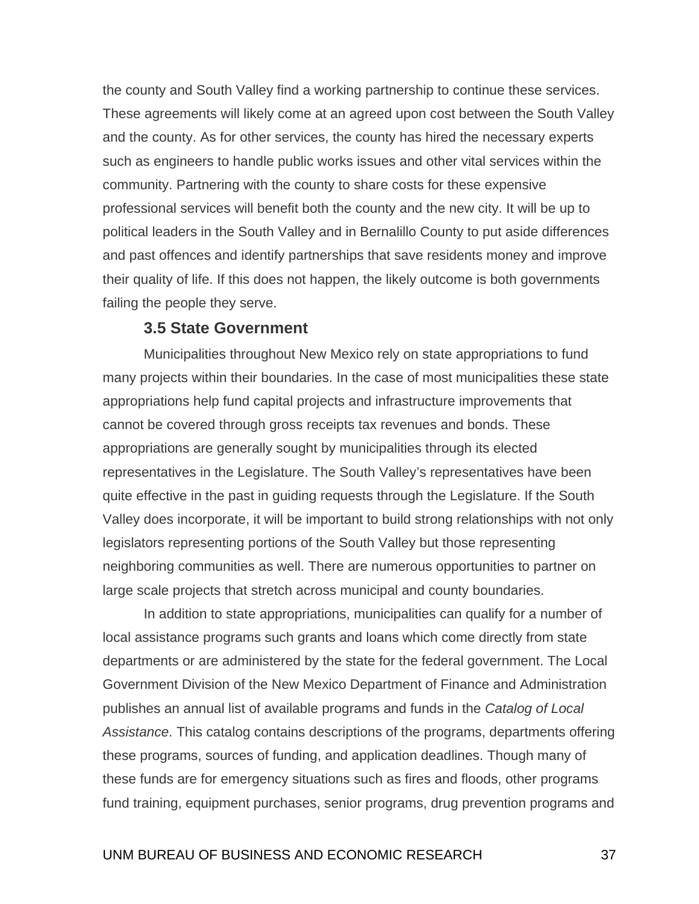the county and South Valley find a working partnership to continue these services. These agreements will likely come at an agreed upon cost between the South Valley and the county. As for other services, the county has hired the necessary experts such as engineers to handle public works issues and other vital services within the community. Partnering with the county to share costs for these expensive professional services will benefit both the county and the new city. It will be up to political leaders in the South Valley and in Bernalillo County to put aside differences and past offences and identify partnerships that save residents money and improve their quality of life. If this does not happen, the likely outcome is both governments failing the people they serve.

#### **3.5 State Government**

 Municipalities throughout New Mexico rely on state appropriations to fund many projects within their boundaries. In the case of most municipalities these state appropriations help fund capital projects and infrastructure improvements that cannot be covered through gross receipts tax revenues and bonds. These appropriations are generally sought by municipalities through its elected representatives in the Legislature. The South Valley's representatives have been quite effective in the past in guiding requests through the Legislature. If the South Valley does incorporate, it will be important to build strong relationships with not only legislators representing portions of the South Valley but those representing neighboring communities as well. There are numerous opportunities to partner on large scale projects that stretch across municipal and county boundaries.

 In addition to state appropriations, municipalities can qualify for a number of local assistance programs such grants and loans which come directly from state departments or are administered by the state for the federal government. The Local Government Division of the New Mexico Department of Finance and Administration publishes an annual list of available programs and funds in the *Catalog of Local Assistance*. This catalog contains descriptions of the programs, departments offering these programs, sources of funding, and application deadlines. Though many of these funds are for emergency situations such as fires and floods, other programs fund training, equipment purchases, senior programs, drug prevention programs and

#### UNM BUREAU OF BUSINESS AND ECONOMIC RESEARCH 37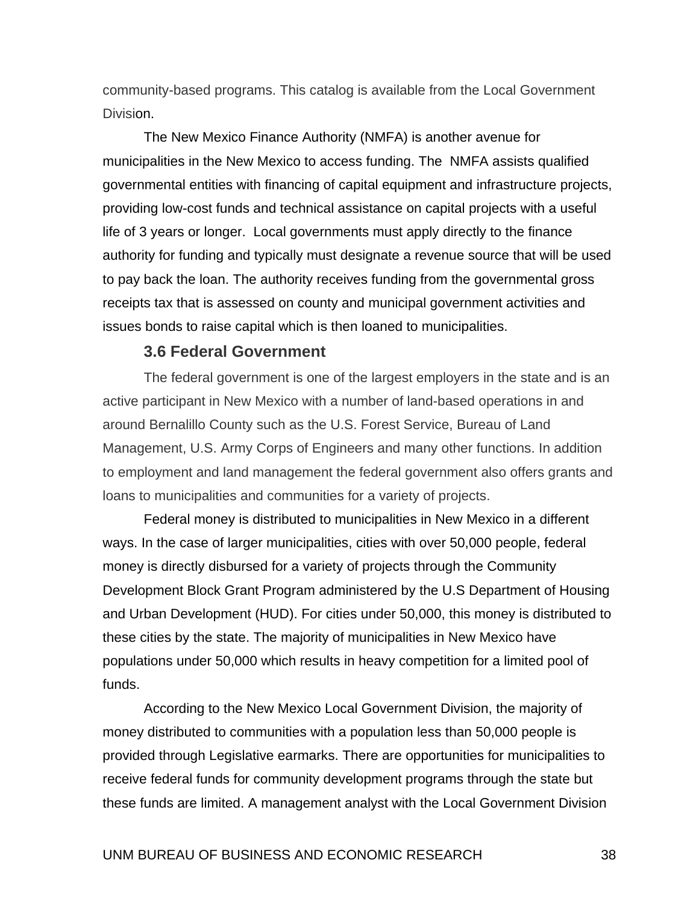community-based programs. This catalog is available from the Local Government Division.

 The New Mexico Finance Authority (NMFA) is another avenue for municipalities in the New Mexico to access funding. The NMFA assists qualified governmental entities with financing of capital equipment and infrastructure projects, providing low-cost funds and technical assistance on capital projects with a useful life of 3 years or longer. Local governments must apply directly to the finance authority for funding and typically must designate a revenue source that will be used to pay back the loan. The authority receives funding from the governmental gross receipts tax that is assessed on county and municipal government activities and issues bonds to raise capital which is then loaned to municipalities.

#### **3.6 Federal Government**

 The federal government is one of the largest employers in the state and is an active participant in New Mexico with a number of land-based operations in and around Bernalillo County such as the U.S. Forest Service, Bureau of Land Management, U.S. Army Corps of Engineers and many other functions. In addition to employment and land management the federal government also offers grants and loans to municipalities and communities for a variety of projects.

Federal money is distributed to municipalities in New Mexico in a different ways. In the case of larger municipalities, cities with over 50,000 people, federal money is directly disbursed for a variety of projects through the Community Development Block Grant Program administered by the U.S Department of Housing and Urban Development (HUD). For cities under 50,000, this money is distributed to these cities by the state. The majority of municipalities in New Mexico have populations under 50,000 which results in heavy competition for a limited pool of funds.

According to the New Mexico Local Government Division, the majority of money distributed to communities with a population less than 50,000 people is provided through Legislative earmarks. There are opportunities for municipalities to receive federal funds for community development programs through the state but these funds are limited. A management analyst with the Local Government Division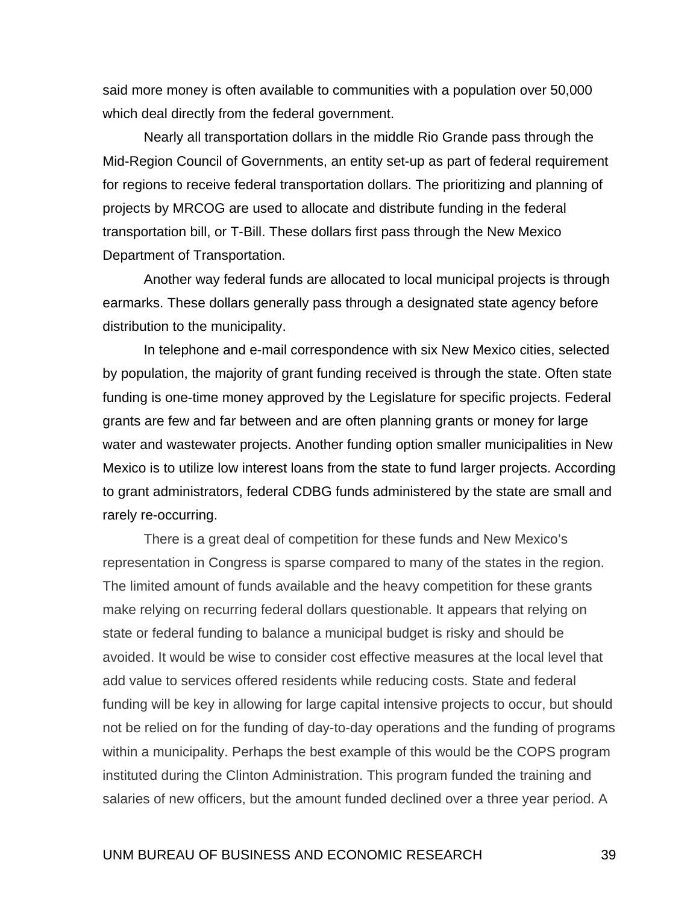said more money is often available to communities with a population over 50,000 which deal directly from the federal government.

Nearly all transportation dollars in the middle Rio Grande pass through the Mid-Region Council of Governments, an entity set-up as part of federal requirement for regions to receive federal transportation dollars. The prioritizing and planning of projects by MRCOG are used to allocate and distribute funding in the federal transportation bill, or T-Bill. These dollars first pass through the New Mexico Department of Transportation.

Another way federal funds are allocated to local municipal projects is through earmarks. These dollars generally pass through a designated state agency before distribution to the municipality.

In telephone and e-mail correspondence with six New Mexico cities, selected by population, the majority of grant funding received is through the state. Often state funding is one-time money approved by the Legislature for specific projects. Federal grants are few and far between and are often planning grants or money for large water and wastewater projects. Another funding option smaller municipalities in New Mexico is to utilize low interest loans from the state to fund larger projects. According to grant administrators, federal CDBG funds administered by the state are small and rarely re-occurring.

 There is a great deal of competition for these funds and New Mexico's representation in Congress is sparse compared to many of the states in the region. The limited amount of funds available and the heavy competition for these grants make relying on recurring federal dollars questionable. It appears that relying on state or federal funding to balance a municipal budget is risky and should be avoided. It would be wise to consider cost effective measures at the local level that add value to services offered residents while reducing costs. State and federal funding will be key in allowing for large capital intensive projects to occur, but should not be relied on for the funding of day-to-day operations and the funding of programs within a municipality. Perhaps the best example of this would be the COPS program instituted during the Clinton Administration. This program funded the training and salaries of new officers, but the amount funded declined over a three year period. A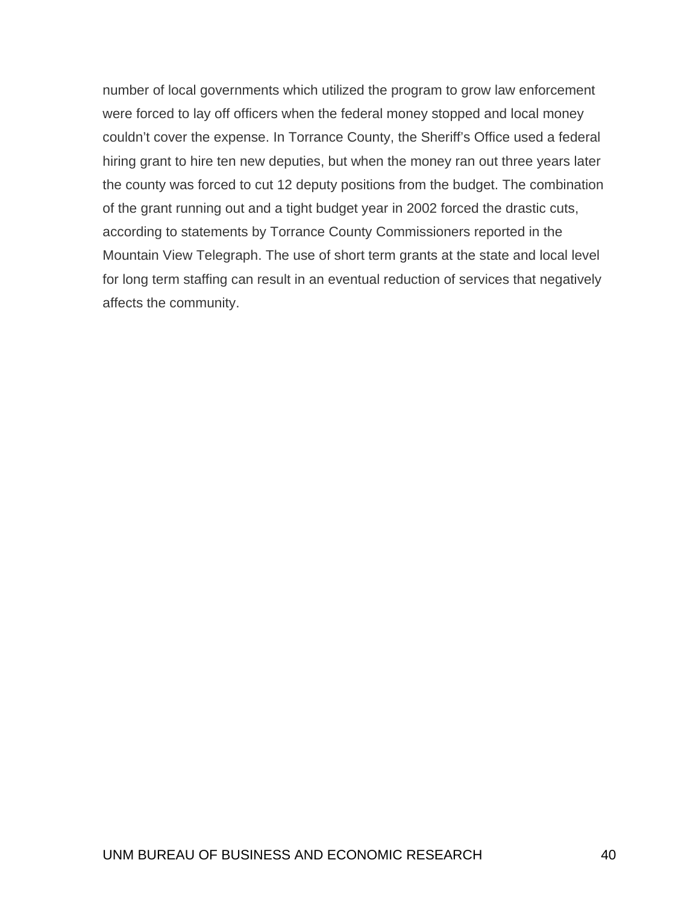number of local governments which utilized the program to grow law enforcement were forced to lay off officers when the federal money stopped and local money couldn't cover the expense. In Torrance County, the Sheriff's Office used a federal hiring grant to hire ten new deputies, but when the money ran out three years later the county was forced to cut 12 deputy positions from the budget. The combination of the grant running out and a tight budget year in 2002 forced the drastic cuts, according to statements by Torrance County Commissioners reported in the Mountain View Telegraph. The use of short term grants at the state and local level for long term staffing can result in an eventual reduction of services that negatively affects the community.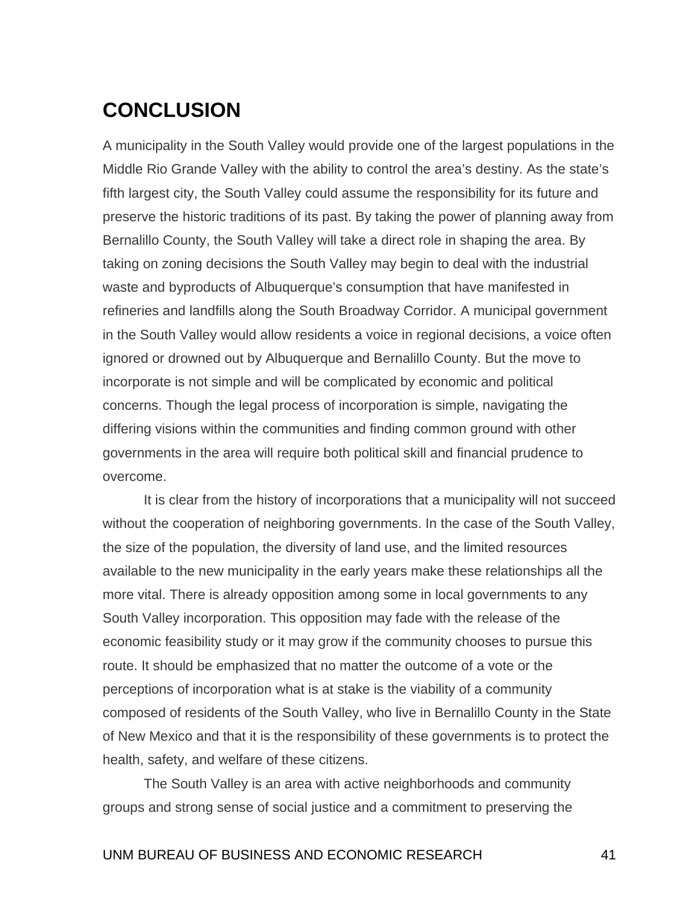# <span id="page-51-0"></span>**CONCLUSION**

A municipality in the South Valley would provide one of the largest populations in the Middle Rio Grande Valley with the ability to control the area's destiny. As the state's fifth largest city, the South Valley could assume the responsibility for its future and preserve the historic traditions of its past. By taking the power of planning away from Bernalillo County, the South Valley will take a direct role in shaping the area. By taking on zoning decisions the South Valley may begin to deal with the industrial waste and byproducts of Albuquerque's consumption that have manifested in refineries and landfills along the South Broadway Corridor. A municipal government in the South Valley would allow residents a voice in regional decisions, a voice often ignored or drowned out by Albuquerque and Bernalillo County. But the move to incorporate is not simple and will be complicated by economic and political concerns. Though the legal process of incorporation is simple, navigating the differing visions within the communities and finding common ground with other governments in the area will require both political skill and financial prudence to overcome.

 It is clear from the history of incorporations that a municipality will not succeed without the cooperation of neighboring governments. In the case of the South Valley, the size of the population, the diversity of land use, and the limited resources available to the new municipality in the early years make these relationships all the more vital. There is already opposition among some in local governments to any South Valley incorporation. This opposition may fade with the release of the economic feasibility study or it may grow if the community chooses to pursue this route. It should be emphasized that no matter the outcome of a vote or the perceptions of incorporation what is at stake is the viability of a community composed of residents of the South Valley, who live in Bernalillo County in the State of New Mexico and that it is the responsibility of these governments is to protect the health, safety, and welfare of these citizens.

 The South Valley is an area with active neighborhoods and community groups and strong sense of social justice and a commitment to preserving the

### UNM BUREAU OF BUSINESS AND ECONOMIC RESEARCH 41